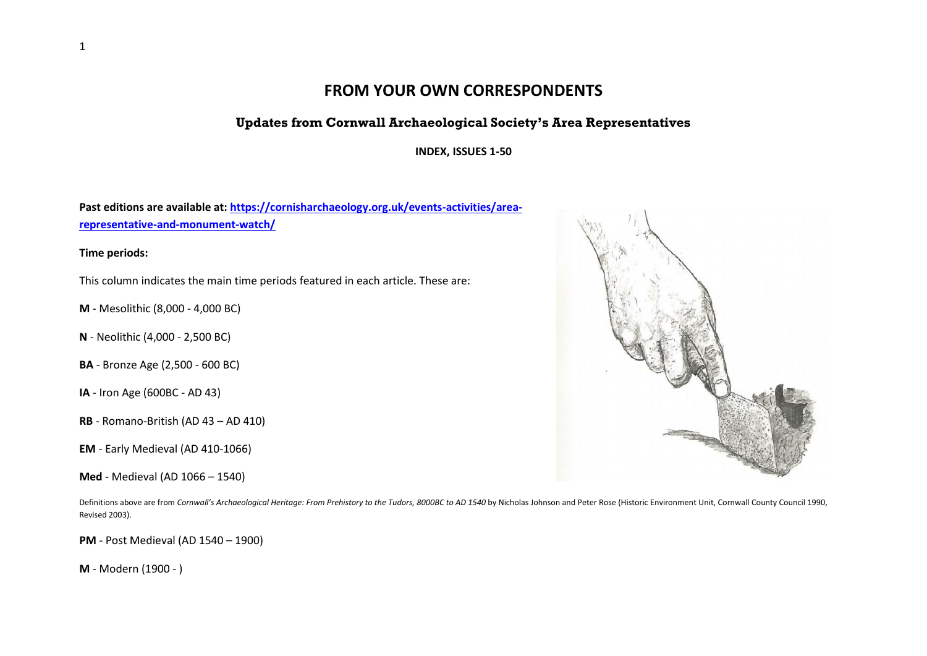## **FROM YOUR OWN CORRESPONDENTS**

## **Updates from Cornwall Archaeological Society's Area Representatives**

**INDEX, ISSUES 1-50**

**Past editions are available at: [https://cornisharchaeology.org.uk/events-activities/area](https://cornisharchaeology.org.uk/events-activities/area-representative-and-monument-watch/)[representative-and-monument-watch/](https://cornisharchaeology.org.uk/events-activities/area-representative-and-monument-watch/)**

**Time periods:**

This column indicates the main time periods featured in each article. These are:

**M** - Mesolithic (8,000 - 4,000 BC)

- **N** Neolithic (4,000 2,500 BC)
- **BA** Bronze Age (2,500 600 BC)
- **IA** Iron Age (600BC AD 43)
- **RB** Romano-British (AD 43 AD 410)
- **EM** Early Medieval (AD 410-1066)
- **Med** Medieval (AD 1066 1540)

Definitions above are from *Cornwall's Archaeological Heritage: From Prehistory to the Tudors, 8000BC to AD 1540* by Nicholas Johnson and Peter Rose (Historic Environment Unit, Cornwall County Council 1990, Revised 2003).

**PM** - Post Medieval (AD 1540 – 1900)

**M** - Modern (1900 - )

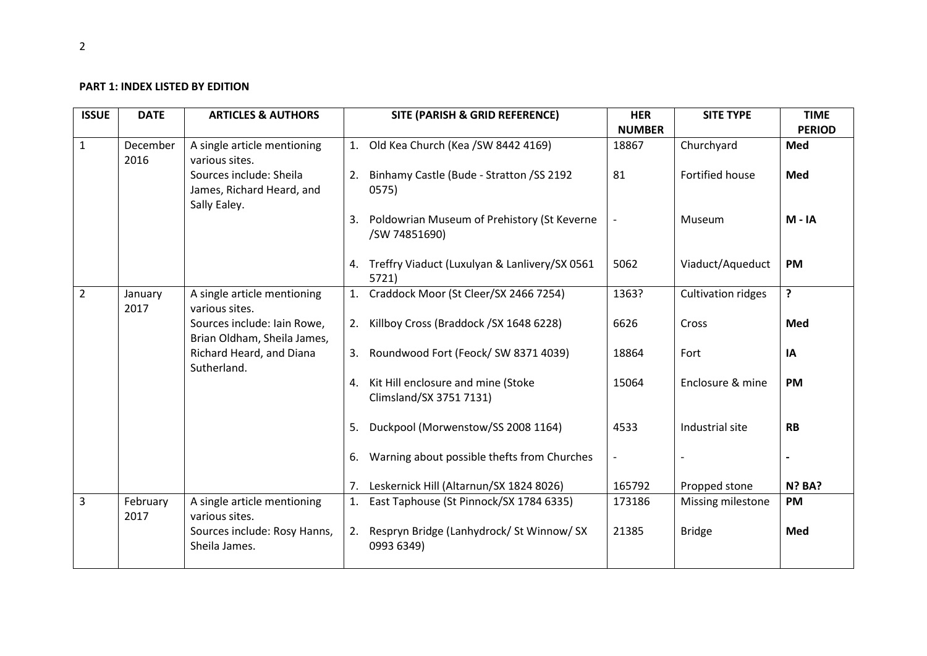## **PART 1: INDEX LISTED BY EDITION**

| <b>ISSUE</b>   | <b>DATE</b>      | <b>ARTICLES &amp; AUTHORS</b>                                        | SITE (PARISH & GRID REFERENCE)                                   | <b>HER</b>    | <b>SITE TYPE</b>   | <b>TIME</b>   |
|----------------|------------------|----------------------------------------------------------------------|------------------------------------------------------------------|---------------|--------------------|---------------|
|                |                  |                                                                      |                                                                  | <b>NUMBER</b> |                    | <b>PERIOD</b> |
| $\mathbf{1}$   | December<br>2016 | A single article mentioning<br>various sites.                        | 1. Old Kea Church (Kea / SW 8442 4169)                           | 18867         | Churchyard         | Med           |
|                |                  | Sources include: Sheila<br>James, Richard Heard, and<br>Sally Ealey. | 2. Binhamy Castle (Bude - Stratton / SS 2192<br>0575)            | 81            | Fortified house    | Med           |
|                |                  |                                                                      | 3. Poldowrian Museum of Prehistory (St Keverne<br>/SW 74851690)  |               | Museum             | $M - IA$      |
|                |                  |                                                                      | 4. Treffry Viaduct (Luxulyan & Lanlivery/SX 0561<br>5721)        | 5062          | Viaduct/Aqueduct   | <b>PM</b>     |
| $\overline{2}$ | January<br>2017  | A single article mentioning<br>various sites.                        | 1. Craddock Moor (St Cleer/SX 2466 7254)                         | 1363?         | Cultivation ridges | ?             |
|                |                  | Sources include: Iain Rowe,<br>Brian Oldham, Sheila James,           | 2. Killboy Cross (Braddock / SX 1648 6228)                       | 6626          | Cross              | Med           |
|                |                  | Richard Heard, and Diana<br>Sutherland.                              | 3. Roundwood Fort (Feock/SW 8371 4039)                           | 18864         | Fort               | IA            |
|                |                  |                                                                      | 4. Kit Hill enclosure and mine (Stoke<br>Climsland/SX 3751 7131) | 15064         | Enclosure & mine   | <b>PM</b>     |
|                |                  |                                                                      | Duckpool (Morwenstow/SS 2008 1164)<br>5.                         | 4533          | Industrial site    | <b>RB</b>     |
|                |                  |                                                                      | Warning about possible thefts from Churches<br>6.                |               |                    |               |
|                |                  |                                                                      | Leskernick Hill (Altarnun/SX 1824 8026)<br>7.                    | 165792        | Propped stone      | <b>N? BA?</b> |
| 3              | February<br>2017 | A single article mentioning<br>various sites.                        | 1. East Taphouse (St Pinnock/SX 1784 6335)                       | 173186        | Missing milestone  | <b>PM</b>     |
|                |                  | Sources include: Rosy Hanns,<br>Sheila James.                        | 2. Respryn Bridge (Lanhydrock/ St Winnow/ SX<br>0993 6349)       | 21385         | <b>Bridge</b>      | Med           |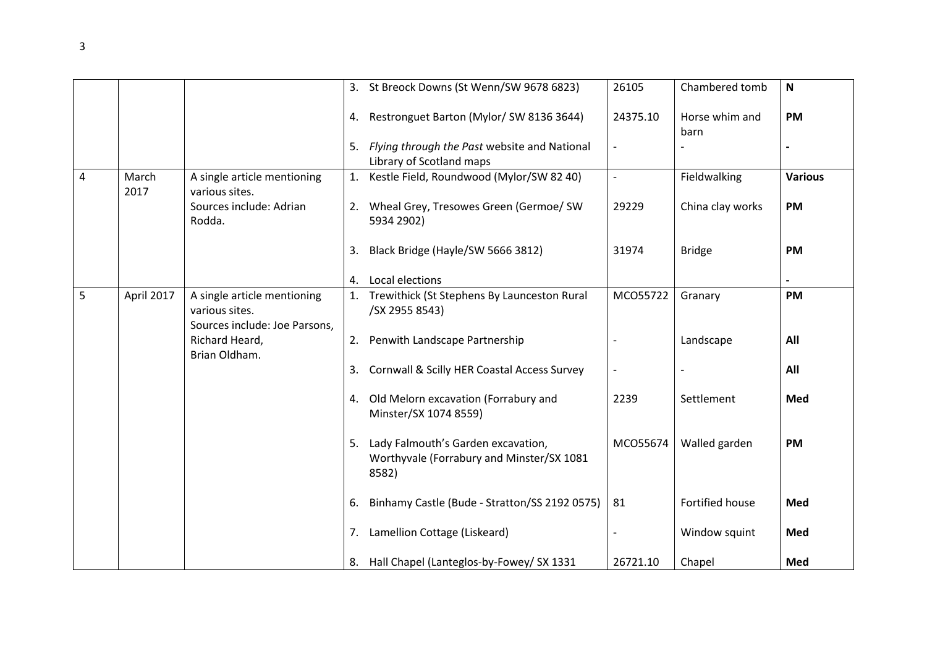|                |               |                                                                                |    | 3. St Breock Downs (St Wenn/SW 9678 6823)                                                | 26105    | Chambered tomb         | $\mathbf N$    |
|----------------|---------------|--------------------------------------------------------------------------------|----|------------------------------------------------------------------------------------------|----------|------------------------|----------------|
|                |               |                                                                                | 4. | Restronguet Barton (Mylor/ SW 8136 3644)                                                 | 24375.10 | Horse whim and<br>barn | <b>PM</b>      |
|                |               |                                                                                | 5. | Flying through the Past website and National<br>Library of Scotland maps                 |          |                        |                |
| $\overline{4}$ | March<br>2017 | A single article mentioning<br>various sites.                                  | 1. | Kestle Field, Roundwood (Mylor/SW 82 40)                                                 |          | Fieldwalking           | <b>Various</b> |
|                |               | Sources include: Adrian<br>Rodda.                                              |    | 2. Wheal Grey, Tresowes Green (Germoe/ SW<br>5934 2902)                                  | 29229    | China clay works       | <b>PM</b>      |
|                |               |                                                                                | 3. | Black Bridge (Hayle/SW 5666 3812)                                                        | 31974    | <b>Bridge</b>          | <b>PM</b>      |
|                |               |                                                                                | 4. | Local elections                                                                          |          |                        |                |
| 5              | April 2017    | A single article mentioning<br>various sites.<br>Sources include: Joe Parsons, |    | 1. Trewithick (St Stephens By Launceston Rural<br>/SX 2955 8543)                         | MCO55722 | Granary                | <b>PM</b>      |
|                |               | Richard Heard,<br>Brian Oldham.                                                |    | 2. Penwith Landscape Partnership                                                         |          | Landscape              | All            |
|                |               |                                                                                | 3. | Cornwall & Scilly HER Coastal Access Survey                                              |          |                        | All            |
|                |               |                                                                                | 4. | Old Melorn excavation (Forrabury and<br>Minster/SX 1074 8559)                            | 2239     | Settlement             | Med            |
|                |               |                                                                                | 5. | Lady Falmouth's Garden excavation,<br>Worthyvale (Forrabury and Minster/SX 1081<br>8582) | MCO55674 | Walled garden          | <b>PM</b>      |
|                |               |                                                                                | 6. | Binhamy Castle (Bude - Stratton/SS 2192 0575)                                            | 81       | Fortified house        | Med            |
|                |               |                                                                                | 7. | Lamellion Cottage (Liskeard)                                                             |          | Window squint          | Med            |
|                |               |                                                                                |    | 8. Hall Chapel (Lanteglos-by-Fowey/ SX 1331                                              | 26721.10 | Chapel                 | Med            |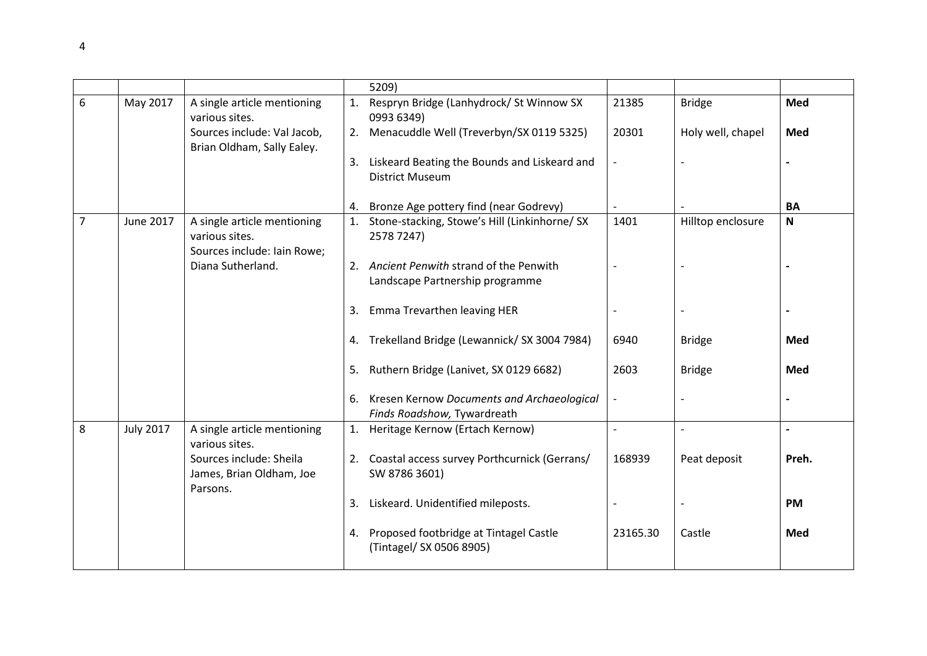|                |                  |                                                                 | 5209)                                                                        |                          |                          |                |
|----------------|------------------|-----------------------------------------------------------------|------------------------------------------------------------------------------|--------------------------|--------------------------|----------------|
| 6              | May 2017         | A single article mentioning<br>various sites.                   | 1. Respryn Bridge (Lanhydrock/ St Winnow SX<br>0993 6349)                    | 21385                    | <b>Bridge</b>            | <b>Med</b>     |
|                |                  | Sources include: Val Jacob,<br>Brian Oldham, Sally Ealey.       | 2. Menacuddle Well (Treverbyn/SX 0119 5325)                                  | 20301                    | Holy well, chapel        | Med            |
|                |                  |                                                                 | 3. Liskeard Beating the Bounds and Liskeard and<br><b>District Museum</b>    |                          |                          |                |
|                |                  |                                                                 | 4. Bronze Age pottery find (near Godrevy)                                    |                          |                          | BA             |
| $\overline{7}$ | June 2017        | A single article mentioning<br>various sites.                   | 1. Stone-stacking, Stowe's Hill (Linkinhorne/ SX<br>2578 7247)               | 1401                     | Hilltop enclosure        | $\mathsf{N}$   |
|                |                  | Sources include: Iain Rowe;<br>Diana Sutherland.                | 2. Ancient Penwith strand of the Penwith<br>Landscape Partnership programme  |                          |                          |                |
|                |                  |                                                                 | 3.<br>Emma Trevarthen leaving HER                                            |                          |                          |                |
|                |                  |                                                                 | 4. Trekelland Bridge (Lewannick/ SX 3004 7984)                               | 6940                     | <b>Bridge</b>            | Med            |
|                |                  |                                                                 | 5. Ruthern Bridge (Lanivet, SX 0129 6682)                                    | 2603                     | <b>Bridge</b>            | Med            |
|                |                  |                                                                 | 6. Kresen Kernow Documents and Archaeological<br>Finds Roadshow, Tywardreath |                          |                          |                |
| 8              | <b>July 2017</b> | A single article mentioning<br>various sites.                   | 1. Heritage Kernow (Ertach Kernow)                                           | $\overline{\phantom{a}}$ | $\overline{\phantom{a}}$ | $\overline{a}$ |
|                |                  | Sources include: Sheila<br>James, Brian Oldham, Joe<br>Parsons. | 2. Coastal access survey Porthcurnick (Gerrans/<br>SW 8786 3601)             | 168939                   | Peat deposit             | Preh.          |
|                |                  |                                                                 | 3. Liskeard. Unidentified mileposts.                                         |                          |                          | <b>PM</b>      |
|                |                  |                                                                 | 4. Proposed footbridge at Tintagel Castle<br>(Tintagel/ SX 0506 8905)        | 23165.30                 | Castle                   | Med            |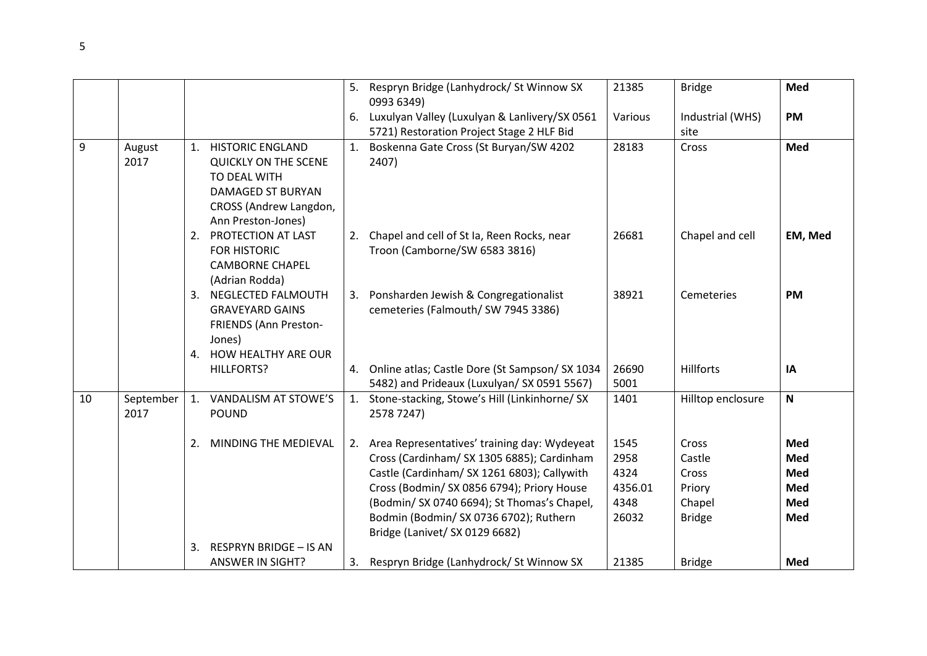|    |                   |                                                                                                                                                | 5. | Respryn Bridge (Lanhydrock/ St Winnow SX<br>0993 6349)                                                                                                                                                                                                                                                                | 21385                                            | <b>Bridge</b>                                                 | Med                                    |
|----|-------------------|------------------------------------------------------------------------------------------------------------------------------------------------|----|-----------------------------------------------------------------------------------------------------------------------------------------------------------------------------------------------------------------------------------------------------------------------------------------------------------------------|--------------------------------------------------|---------------------------------------------------------------|----------------------------------------|
|    |                   |                                                                                                                                                |    | 6. Luxulyan Valley (Luxulyan & Lanlivery/SX 0561<br>5721) Restoration Project Stage 2 HLF Bid                                                                                                                                                                                                                         | Various                                          | Industrial (WHS)<br>site                                      | <b>PM</b>                              |
| 9  | August<br>2017    | 1. HISTORIC ENGLAND<br><b>QUICKLY ON THE SCENE</b><br>TO DEAL WITH<br><b>DAMAGED ST BURYAN</b><br>CROSS (Andrew Langdon,<br>Ann Preston-Jones) |    | 1. Boskenna Gate Cross (St Buryan/SW 4202<br>2407)                                                                                                                                                                                                                                                                    | 28183                                            | Cross                                                         | Med                                    |
|    |                   | 2. PROTECTION AT LAST<br><b>FOR HISTORIC</b><br><b>CAMBORNE CHAPEL</b><br>(Adrian Rodda)                                                       |    | 2. Chapel and cell of St Ia, Reen Rocks, near<br>Troon (Camborne/SW 6583 3816)                                                                                                                                                                                                                                        | 26681                                            | Chapel and cell                                               | EM, Med                                |
|    |                   | 3. NEGLECTED FALMOUTH<br><b>GRAVEYARD GAINS</b><br>FRIENDS (Ann Preston-<br>Jones)                                                             |    | 3. Ponsharden Jewish & Congregationalist<br>cemeteries (Falmouth/ SW 7945 3386)                                                                                                                                                                                                                                       | 38921                                            | Cemeteries                                                    | <b>PM</b>                              |
|    |                   | 4. HOW HEALTHY ARE OUR<br><b>HILLFORTS?</b>                                                                                                    |    | 4. Online atlas; Castle Dore (St Sampson/ SX 1034<br>5482) and Prideaux (Luxulyan/ SX 0591 5567)                                                                                                                                                                                                                      | 26690<br>5001                                    | <b>Hillforts</b>                                              | IA                                     |
| 10 | September<br>2017 | 1. VANDALISM AT STOWE'S<br><b>POUND</b>                                                                                                        |    | 1. Stone-stacking, Stowe's Hill (Linkinhorne/ SX<br>2578 7247)                                                                                                                                                                                                                                                        | 1401                                             | Hilltop enclosure                                             | $\boldsymbol{\mathsf{N}}$              |
|    |                   | 2.<br>MINDING THE MEDIEVAL<br>3.<br><b>RESPRYN BRIDGE - IS AN</b>                                                                              |    | 2. Area Representatives' training day: Wydeyeat<br>Cross (Cardinham/ SX 1305 6885); Cardinham<br>Castle (Cardinham/ SX 1261 6803); Callywith<br>Cross (Bodmin/ SX 0856 6794); Priory House<br>(Bodmin/ SX 0740 6694); St Thomas's Chapel,<br>Bodmin (Bodmin/ SX 0736 6702); Ruthern<br>Bridge (Lanivet/ SX 0129 6682) | 1545<br>2958<br>4324<br>4356.01<br>4348<br>26032 | Cross<br>Castle<br>Cross<br>Priory<br>Chapel<br><b>Bridge</b> | Med<br>Med<br>Med<br>Med<br>Med<br>Med |
|    |                   | <b>ANSWER IN SIGHT?</b>                                                                                                                        | 3. | Respryn Bridge (Lanhydrock/ St Winnow SX                                                                                                                                                                                                                                                                              | 21385                                            | <b>Bridge</b>                                                 | Med                                    |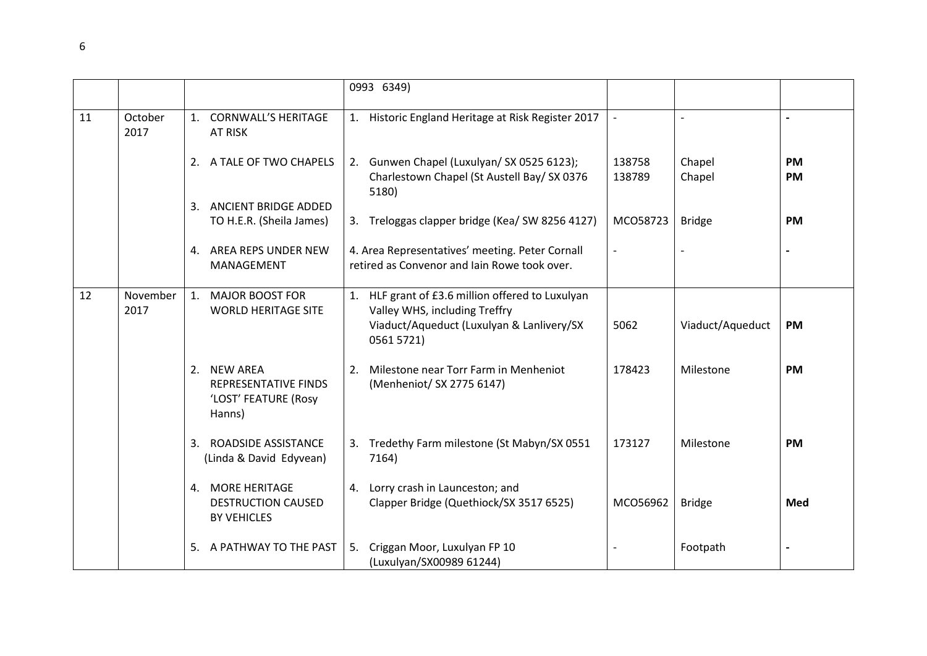|    |                  |                                                                                 | 0993 6349)                                                                                                                                   |                  |                  |                        |
|----|------------------|---------------------------------------------------------------------------------|----------------------------------------------------------------------------------------------------------------------------------------------|------------------|------------------|------------------------|
| 11 | October<br>2017  | <b>CORNWALL'S HERITAGE</b><br>1.<br><b>AT RISK</b>                              | 1. Historic England Heritage at Risk Register 2017                                                                                           |                  |                  |                        |
|    |                  | 2. A TALE OF TWO CHAPELS                                                        | 2. Gunwen Chapel (Luxulyan/ SX 0525 6123);<br>Charlestown Chapel (St Austell Bay/ SX 0376<br>5180)                                           | 138758<br>138789 | Chapel<br>Chapel | <b>PM</b><br><b>PM</b> |
|    |                  | ANCIENT BRIDGE ADDED<br>3.                                                      |                                                                                                                                              |                  |                  |                        |
|    |                  | TO H.E.R. (Sheila James)                                                        | 3. Treloggas clapper bridge (Kea/SW 8256 4127)                                                                                               | MCO58723         | <b>Bridge</b>    | <b>PM</b>              |
|    |                  | AREA REPS UNDER NEW<br>4.<br>MANAGEMENT                                         | 4. Area Representatives' meeting. Peter Cornall<br>retired as Convenor and Jain Rowe took over.                                              |                  |                  |                        |
| 12 | November<br>2017 | 1.<br><b>MAJOR BOOST FOR</b><br><b>WORLD HERITAGE SITE</b>                      | 1. HLF grant of £3.6 million offered to Luxulyan<br>Valley WHS, including Treffry<br>Viaduct/Aqueduct (Luxulyan & Lanlivery/SX<br>0561 5721) | 5062             | Viaduct/Aqueduct | <b>PM</b>              |
|    |                  | <b>NEW AREA</b><br>2.<br>REPRESENTATIVE FINDS<br>'LOST' FEATURE (Rosy<br>Hanns) | Milestone near Torr Farm in Menheniot<br>2.<br>(Menheniot/ SX 2775 6147)                                                                     | 178423           | Milestone        | <b>PM</b>              |
|    |                  | ROADSIDE ASSISTANCE<br>3.<br>(Linda & David Edyvean)                            | 3. Tredethy Farm milestone (St Mabyn/SX 0551<br>7164)                                                                                        | 173127           | Milestone        | <b>PM</b>              |
|    |                  | <b>MORE HERITAGE</b><br>4.<br><b>DESTRUCTION CAUSED</b><br><b>BY VEHICLES</b>   | Lorry crash in Launceston; and<br>4.<br>Clapper Bridge (Quethiock/SX 3517 6525)                                                              | MCO56962         | <b>Bridge</b>    | Med                    |
|    |                  | A PATHWAY TO THE PAST<br>5.                                                     | Criggan Moor, Luxulyan FP 10<br>5.<br>(Luxulyan/SX00989 61244)                                                                               |                  | Footpath         |                        |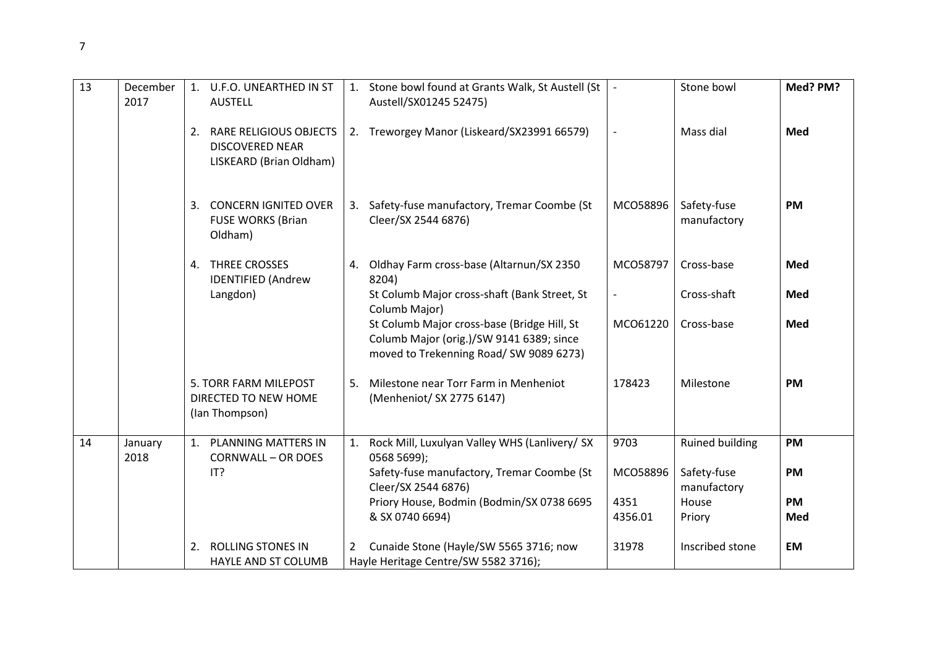| 13 | December<br>2017 | 1. U.F.O. UNEARTHED IN ST<br><b>AUSTELL</b>                                              |    | 1. Stone bowl found at Grants Walk, St Austell (St<br>Austell/SX01245 52475)                                                         |                  | Stone bowl                                           | Med? PM?               |
|----|------------------|------------------------------------------------------------------------------------------|----|--------------------------------------------------------------------------------------------------------------------------------------|------------------|------------------------------------------------------|------------------------|
|    |                  | <b>RARE RELIGIOUS OBJECTS</b><br>2.<br><b>DISCOVERED NEAR</b><br>LISKEARD (Brian Oldham) |    | 2. Treworgey Manor (Liskeard/SX23991 66579)                                                                                          |                  | Mass dial                                            | <b>Med</b>             |
|    |                  | <b>CONCERN IGNITED OVER</b><br>3.<br><b>FUSE WORKS (Brian</b><br>Oldham)                 |    | 3. Safety-fuse manufactory, Tremar Coombe (St<br>Cleer/SX 2544 6876)                                                                 | MCO58896         | Safety-fuse<br>manufactory                           | <b>PM</b>              |
|    |                  | 4. THREE CROSSES<br><b>IDENTIFIED (Andrew</b>                                            | 4. | Oldhay Farm cross-base (Altarnun/SX 2350<br>8204)                                                                                    | MCO58797         | Cross-base                                           | Med                    |
|    |                  | Langdon)                                                                                 |    | St Columb Major cross-shaft (Bank Street, St<br>Columb Major)                                                                        |                  | Cross-shaft                                          | Med                    |
|    |                  |                                                                                          |    | St Columb Major cross-base (Bridge Hill, St<br>Columb Major (orig.)/SW 9141 6389; since<br>moved to Trekenning Road/SW 9089 6273)    | MCO61220         | Cross-base                                           | Med                    |
|    |                  | 5. TORR FARM MILEPOST<br>DIRECTED TO NEW HOME<br>(Ian Thompson)                          |    | 5. Milestone near Torr Farm in Menheniot<br>(Menheniot/ SX 2775 6147)                                                                | 178423           | Milestone                                            | <b>PM</b>              |
| 14 | January<br>2018  | 1. PLANNING MATTERS IN<br><b>CORNWALL - OR DOES</b><br>IT?                               |    | 1. Rock Mill, Luxulyan Valley WHS (Lanlivery/ SX<br>0568 5699);<br>Safety-fuse manufactory, Tremar Coombe (St<br>Cleer/SX 2544 6876) | 9703<br>MCO58896 | <b>Ruined building</b><br>Safety-fuse<br>manufactory | <b>PM</b><br><b>PM</b> |
|    |                  |                                                                                          |    | Priory House, Bodmin (Bodmin/SX 0738 6695<br>& SX 0740 6694)                                                                         | 4351<br>4356.01  | House<br>Priory                                      | <b>PM</b><br>Med       |
|    |                  | <b>ROLLING STONES IN</b><br>2.<br>HAYLE AND ST COLUMB                                    | 2  | Cunaide Stone (Hayle/SW 5565 3716; now<br>Hayle Heritage Centre/SW 5582 3716);                                                       | 31978            | Inscribed stone                                      | <b>EM</b>              |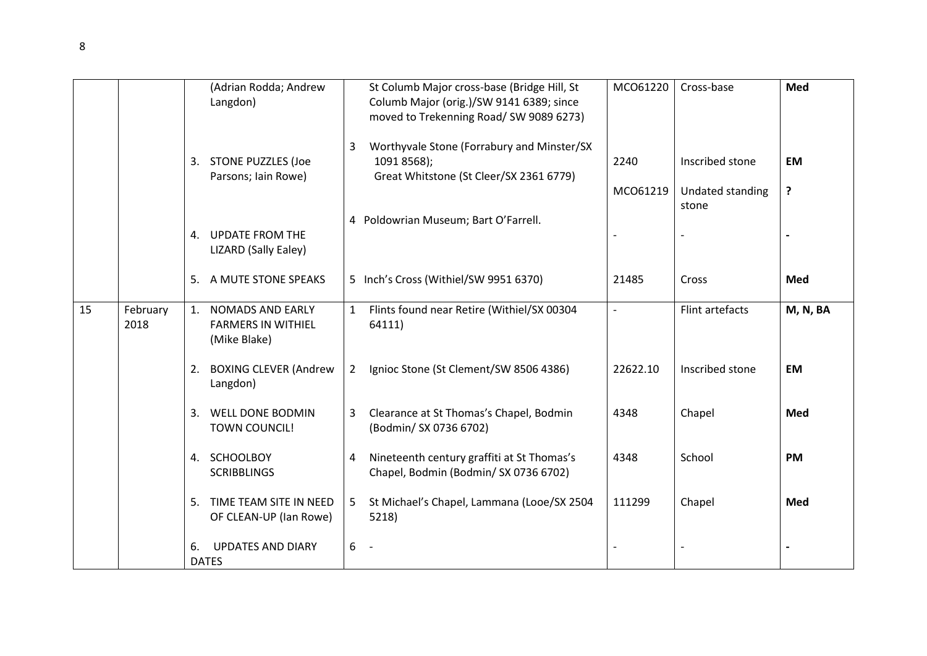|    |                  |                | (Adrian Rodda; Andrew<br>Langdon)                                    |                | St Columb Major cross-base (Bridge Hill, St<br>Columb Major (orig.)/SW 9141 6389; since<br>moved to Trekenning Road/ SW 9089 6273) | MCO61220         | Cross-base                          | Med            |
|----|------------------|----------------|----------------------------------------------------------------------|----------------|------------------------------------------------------------------------------------------------------------------------------------|------------------|-------------------------------------|----------------|
|    |                  |                | 3. STONE PUZZLES (Joe<br>Parsons; Iain Rowe)                         | 3              | Worthyvale Stone (Forrabury and Minster/SX<br>1091 8568);<br>Great Whitstone (St Cleer/SX 2361 6779)                               | 2240<br>MCO61219 | Inscribed stone<br>Undated standing | <b>EM</b><br>? |
|    |                  |                | 4. UPDATE FROM THE<br>LIZARD (Sally Ealey)                           |                | 4 Poldowrian Museum; Bart O'Farrell.                                                                                               |                  | stone                               |                |
|    |                  | 5.             | A MUTE STONE SPEAKS                                                  |                | 5 Inch's Cross (Withiel/SW 9951 6370)                                                                                              | 21485            | Cross                               | Med            |
| 15 | February<br>2018 | $\mathbf{1}$ . | <b>NOMADS AND EARLY</b><br><b>FARMERS IN WITHIEL</b><br>(Mike Blake) | 1              | Flints found near Retire (Withiel/SX 00304<br>64111)                                                                               | $\blacksquare$   | Flint artefacts                     | M, N, BA       |
|    |                  | 2.             | <b>BOXING CLEVER (Andrew</b><br>Langdon)                             | $2^{\circ}$    | Ignioc Stone (St Clement/SW 8506 4386)                                                                                             | 22622.10         | Inscribed stone                     | <b>EM</b>      |
|    |                  | 3.             | WELL DONE BODMIN<br><b>TOWN COUNCIL!</b>                             | 3              | Clearance at St Thomas's Chapel, Bodmin<br>(Bodmin/ SX 0736 6702)                                                                  | 4348             | Chapel                              | Med            |
|    |                  |                | 4. SCHOOLBOY<br><b>SCRIBBLINGS</b>                                   | 4              | Nineteenth century graffiti at St Thomas's<br>Chapel, Bodmin (Bodmin/ SX 0736 6702)                                                | 4348             | School                              | <b>PM</b>      |
|    |                  |                | 5. TIME TEAM SITE IN NEED<br>OF CLEAN-UP (Ian Rowe)                  | 5 <sub>1</sub> | St Michael's Chapel, Lammana (Looe/SX 2504<br>5218)                                                                                | 111299           | Chapel                              | Med            |
|    |                  | 6.             | <b>UPDATES AND DIARY</b><br><b>DATES</b>                             | $6 -$          |                                                                                                                                    |                  |                                     |                |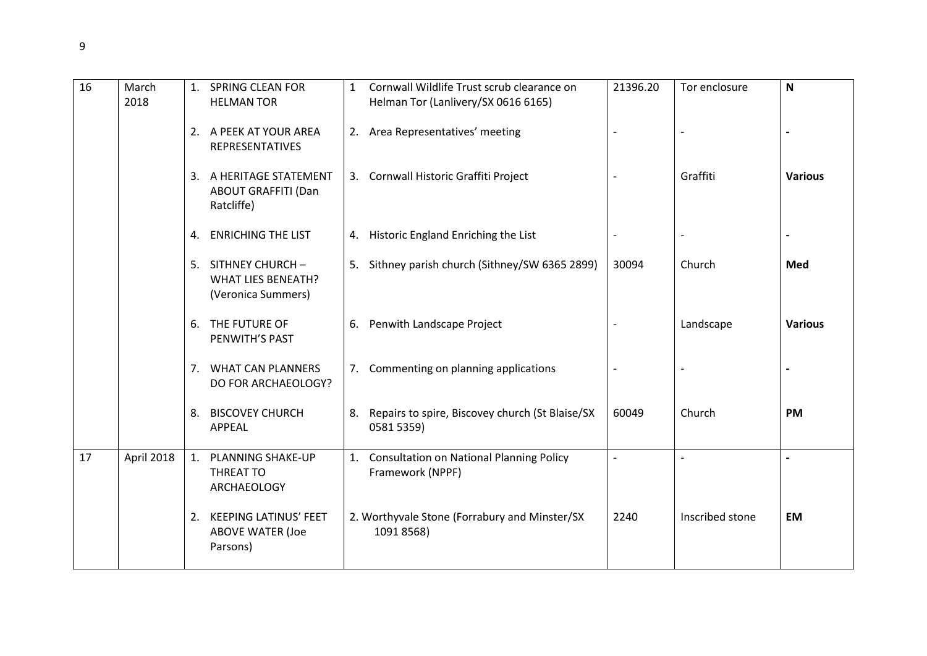| 16 | March<br>2018 |    | 1. SPRING CLEAN FOR<br><b>HELMAN TOR</b>                              | $\mathbf{1}$ | Cornwall Wildlife Trust scrub clearance on<br>Helman Tor (Lanlivery/SX 0616 6165) | 21396.20 | Tor enclosure   | $\mathsf{N}$   |
|----|---------------|----|-----------------------------------------------------------------------|--------------|-----------------------------------------------------------------------------------|----------|-----------------|----------------|
|    |               |    | 2. A PEEK AT YOUR AREA<br>REPRESENTATIVES                             |              | 2. Area Representatives' meeting                                                  |          |                 |                |
|    |               |    | 3. A HERITAGE STATEMENT<br><b>ABOUT GRAFFITI (Dan</b><br>Ratcliffe)   |              | 3. Cornwall Historic Graffiti Project                                             |          | Graffiti        | <b>Various</b> |
|    |               |    | 4. ENRICHING THE LIST                                                 |              | 4. Historic England Enriching the List                                            |          |                 |                |
|    |               |    | 5. SITHNEY CHURCH-<br><b>WHAT LIES BENEATH?</b><br>(Veronica Summers) |              | 5. Sithney parish church (Sithney/SW 6365 2899)                                   | 30094    | Church          | Med            |
|    |               |    | 6. THE FUTURE OF<br>PENWITH'S PAST                                    |              | 6. Penwith Landscape Project                                                      |          | Landscape       | <b>Various</b> |
|    |               |    | 7. WHAT CAN PLANNERS<br>DO FOR ARCHAEOLOGY?                           |              | 7. Commenting on planning applications                                            |          |                 |                |
|    |               |    | 8. BISCOVEY CHURCH<br>APPEAL                                          |              | 8. Repairs to spire, Biscovey church (St Blaise/SX<br>0581 5359)                  | 60049    | Church          | <b>PM</b>      |
| 17 | April 2018    | 1. | <b>PLANNING SHAKE-UP</b><br>THREAT TO<br>ARCHAEOLOGY                  |              | 1. Consultation on National Planning Policy<br>Framework (NPPF)                   |          |                 |                |
|    |               |    | 2. KEEPING LATINUS' FEET<br><b>ABOVE WATER (Joe</b><br>Parsons)       |              | 2. Worthyvale Stone (Forrabury and Minster/SX<br>1091 8568)                       | 2240     | Inscribed stone | <b>EM</b>      |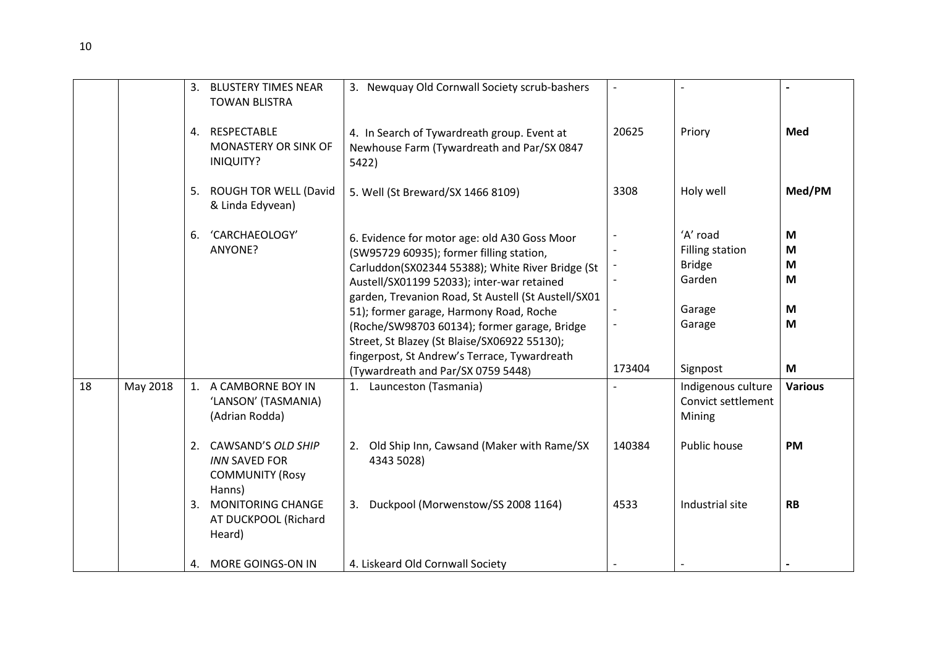|    |          | 3. | <b>BLUSTERY TIMES NEAR</b><br><b>TOWAN BLISTRA</b>                                                                                | 3. Newquay Old Cornwall Society scrub-bashers                                                                                                                                                                                                                                                                                                                                                                                                | $\overline{\phantom{a}}$ |                                                                                   |                            |
|----|----------|----|-----------------------------------------------------------------------------------------------------------------------------------|----------------------------------------------------------------------------------------------------------------------------------------------------------------------------------------------------------------------------------------------------------------------------------------------------------------------------------------------------------------------------------------------------------------------------------------------|--------------------------|-----------------------------------------------------------------------------------|----------------------------|
|    |          |    | 4. RESPECTABLE<br><b>MONASTERY OR SINK OF</b><br><b>INIQUITY?</b>                                                                 | 4. In Search of Tywardreath group. Event at<br>Newhouse Farm (Tywardreath and Par/SX 0847<br>5422)                                                                                                                                                                                                                                                                                                                                           | 20625                    | Priory                                                                            | Med                        |
|    |          |    | 5. ROUGH TOR WELL (David<br>& Linda Edyvean)                                                                                      | 5. Well (St Breward/SX 1466 8109)                                                                                                                                                                                                                                                                                                                                                                                                            | 3308                     | Holy well                                                                         | Med/PM                     |
|    |          | 6. | 'CARCHAEOLOGY'<br>ANYONE?                                                                                                         | 6. Evidence for motor age: old A30 Goss Moor<br>(SW95729 60935); former filling station,<br>Carluddon(SX02344 55388); White River Bridge (St<br>Austell/SX01199 52033); inter-war retained<br>garden, Trevanion Road, St Austell (St Austell/SX01<br>51); former garage, Harmony Road, Roche<br>(Roche/SW98703 60134); former garage, Bridge<br>Street, St Blazey (St Blaise/SX06922 55130);<br>fingerpost, St Andrew's Terrace, Tywardreath |                          | 'A' road<br><b>Filling station</b><br><b>Bridge</b><br>Garden<br>Garage<br>Garage | M<br>M<br>M<br>M<br>M<br>M |
|    |          |    |                                                                                                                                   | (Tywardreath and Par/SX 0759 5448)                                                                                                                                                                                                                                                                                                                                                                                                           | 173404                   | Signpost                                                                          | M                          |
| 18 | May 2018 |    | 1. A CAMBORNE BOY IN<br>'LANSON' (TASMANIA)<br>(Adrian Rodda)                                                                     | 1. Launceston (Tasmania)                                                                                                                                                                                                                                                                                                                                                                                                                     |                          | Indigenous culture<br>Convict settlement<br>Mining                                | <b>Various</b>             |
|    |          |    | 2. CAWSAND'S OLD SHIP<br><b>INN SAVED FOR</b><br><b>COMMUNITY (Rosy</b><br>Hanns)<br>3. MONITORING CHANGE<br>AT DUCKPOOL (Richard | 2. Old Ship Inn, Cawsand (Maker with Rame/SX<br>4343 5028)<br>3. Duckpool (Morwenstow/SS 2008 1164)                                                                                                                                                                                                                                                                                                                                          | 140384<br>4533           | Public house<br>Industrial site                                                   | <b>PM</b><br><b>RB</b>     |
|    |          |    | Heard)                                                                                                                            |                                                                                                                                                                                                                                                                                                                                                                                                                                              |                          |                                                                                   |                            |
|    |          |    | 4. MORE GOINGS-ON IN                                                                                                              | 4. Liskeard Old Cornwall Society                                                                                                                                                                                                                                                                                                                                                                                                             |                          |                                                                                   |                            |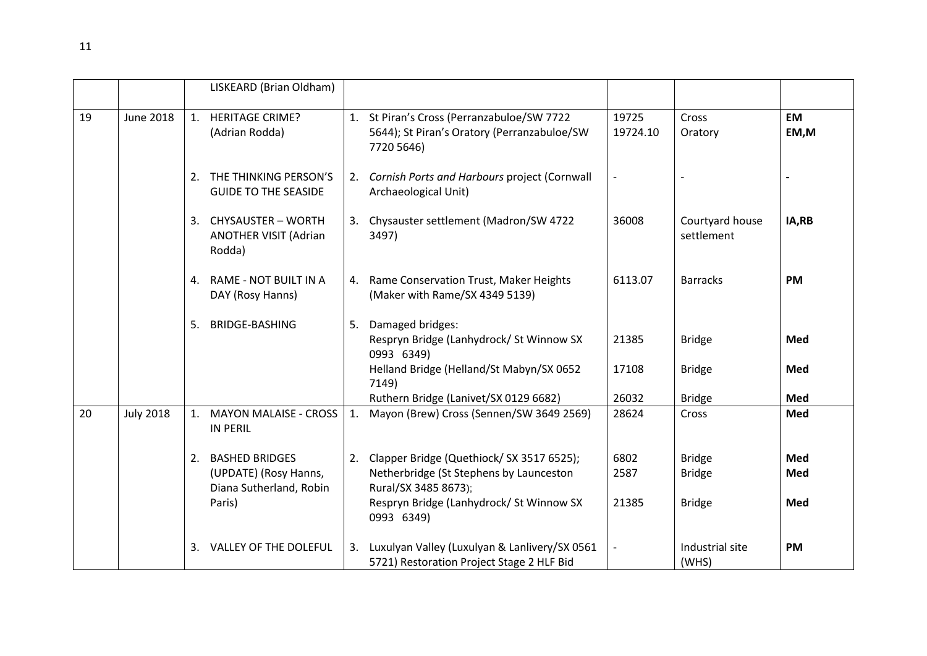|    |                  |    | LISKEARD (Brian Oldham)                                                         |    |                                                                                                                                                            |                       |                                                 |                   |
|----|------------------|----|---------------------------------------------------------------------------------|----|------------------------------------------------------------------------------------------------------------------------------------------------------------|-----------------------|-------------------------------------------------|-------------------|
| 19 | <b>June 2018</b> |    | 1. HERITAGE CRIME?<br>(Adrian Rodda)                                            |    | 1. St Piran's Cross (Perranzabuloe/SW 7722<br>5644); St Piran's Oratory (Perranzabuloe/SW<br>7720 5646)                                                    | 19725<br>19724.10     | Cross<br>Oratory                                | <b>EM</b><br>EM,M |
|    |                  |    | 2. THE THINKING PERSON'S<br><b>GUIDE TO THE SEASIDE</b>                         |    | 2. Cornish Ports and Harbours project (Cornwall<br>Archaeological Unit)                                                                                    |                       |                                                 |                   |
|    |                  |    | 3. CHYSAUSTER - WORTH<br><b>ANOTHER VISIT (Adrian</b><br>Rodda)                 |    | 3. Chysauster settlement (Madron/SW 4722<br>3497)                                                                                                          | 36008                 | Courtyard house<br>settlement                   | IA,RB             |
|    |                  |    | 4. RAME - NOT BUILT IN A<br>DAY (Rosy Hanns)                                    | 4. | Rame Conservation Trust, Maker Heights<br>(Maker with Rame/SX 4349 5139)                                                                                   | 6113.07               | <b>Barracks</b>                                 | <b>PM</b>         |
|    |                  | 5. | <b>BRIDGE-BASHING</b>                                                           | 5. | Damaged bridges:<br>Respryn Bridge (Lanhydrock/ St Winnow SX<br>0993 6349)                                                                                 | 21385                 | <b>Bridge</b>                                   | Med               |
|    |                  |    |                                                                                 |    | Helland Bridge (Helland/St Mabyn/SX 0652<br>7149)                                                                                                          | 17108<br>26032        | <b>Bridge</b>                                   | Med<br>Med        |
| 20 | <b>July 2018</b> |    | 1. MAYON MALAISE - CROSS<br><b>IN PERIL</b>                                     | 1. | Ruthern Bridge (Lanivet/SX 0129 6682)<br>Mayon (Brew) Cross (Sennen/SW 3649 2569)                                                                          | 28624                 | <b>Bridge</b><br>Cross                          | Med               |
|    |                  |    | 2. BASHED BRIDGES<br>(UPDATE) (Rosy Hanns,<br>Diana Sutherland, Robin<br>Paris) |    | 2. Clapper Bridge (Quethiock/SX 3517 6525);<br>Netherbridge (St Stephens by Launceston<br>Rural/SX 3485 8673);<br>Respryn Bridge (Lanhydrock/ St Winnow SX | 6802<br>2587<br>21385 | <b>Bridge</b><br><b>Bridge</b><br><b>Bridge</b> | Med<br>Med<br>Med |
|    |                  | 3. | VALLEY OF THE DOLEFUL                                                           | 3. | 0993 6349)<br>Luxulyan Valley (Luxulyan & Lanlivery/SX 0561<br>5721) Restoration Project Stage 2 HLF Bid                                                   |                       | Industrial site<br>(WHS)                        | <b>PM</b>         |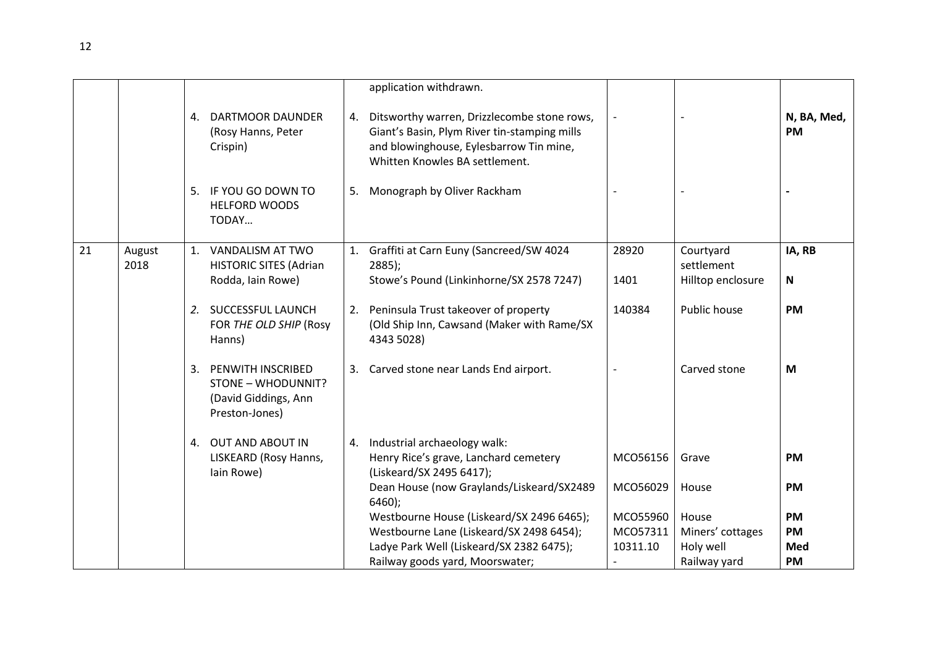|    |                |                                                                                                |    | application withdrawn.                                                                                                                                                   |          |                         |                          |
|----|----------------|------------------------------------------------------------------------------------------------|----|--------------------------------------------------------------------------------------------------------------------------------------------------------------------------|----------|-------------------------|--------------------------|
|    |                | <b>DARTMOOR DAUNDER</b><br>4.<br>(Rosy Hanns, Peter<br>Crispin)                                | 4. | Ditsworthy warren, Drizzlecombe stone rows,<br>Giant's Basin, Plym River tin-stamping mills<br>and blowinghouse, Eylesbarrow Tin mine,<br>Whitten Knowles BA settlement. |          |                         | N, BA, Med,<br><b>PM</b> |
|    |                | IF YOU GO DOWN TO<br>5.<br><b>HELFORD WOODS</b><br>TODAY                                       | 5. | Monograph by Oliver Rackham                                                                                                                                              |          |                         |                          |
| 21 | August<br>2018 | 1. VANDALISM AT TWO<br><b>HISTORIC SITES (Adrian</b>                                           |    | 1. Graffiti at Carn Euny (Sancreed/SW 4024<br>$2885$ );                                                                                                                  | 28920    | Courtyard<br>settlement | IA, RB                   |
|    |                | Rodda, Iain Rowe)                                                                              |    | Stowe's Pound (Linkinhorne/SX 2578 7247)                                                                                                                                 | 1401     | Hilltop enclosure       | $\mathbf N$              |
|    |                | 2. SUCCESSFUL LAUNCH<br>FOR THE OLD SHIP (Rosy<br>Hanns)                                       |    | 2. Peninsula Trust takeover of property<br>(Old Ship Inn, Cawsand (Maker with Rame/SX<br>4343 5028)                                                                      | 140384   | Public house            | <b>PM</b>                |
|    |                | <b>PENWITH INSCRIBED</b><br>3.<br>STONE - WHODUNNIT?<br>(David Giddings, Ann<br>Preston-Jones) |    | 3. Carved stone near Lands End airport.                                                                                                                                  |          | Carved stone            | M                        |
|    |                | 4. OUT AND ABOUT IN<br>LISKEARD (Rosy Hanns,                                                   |    | 4. Industrial archaeology walk:<br>Henry Rice's grave, Lanchard cemetery                                                                                                 | MCO56156 | Grave                   | <b>PM</b>                |
|    |                | lain Rowe)                                                                                     |    | (Liskeard/SX 2495 6417);<br>Dean House (now Graylands/Liskeard/SX2489<br>$6460$ );                                                                                       | MCO56029 | House                   | <b>PM</b>                |
|    |                |                                                                                                |    | Westbourne House (Liskeard/SX 2496 6465);                                                                                                                                | MCO55960 | House                   | <b>PM</b>                |
|    |                |                                                                                                |    | Westbourne Lane (Liskeard/SX 2498 6454);                                                                                                                                 | MCO57311 | Miners' cottages        | <b>PM</b>                |
|    |                |                                                                                                |    | Ladye Park Well (Liskeard/SX 2382 6475);                                                                                                                                 | 10311.10 | Holy well               | Med                      |
|    |                |                                                                                                |    | Railway goods yard, Moorswater;                                                                                                                                          |          | Railway yard            | PM                       |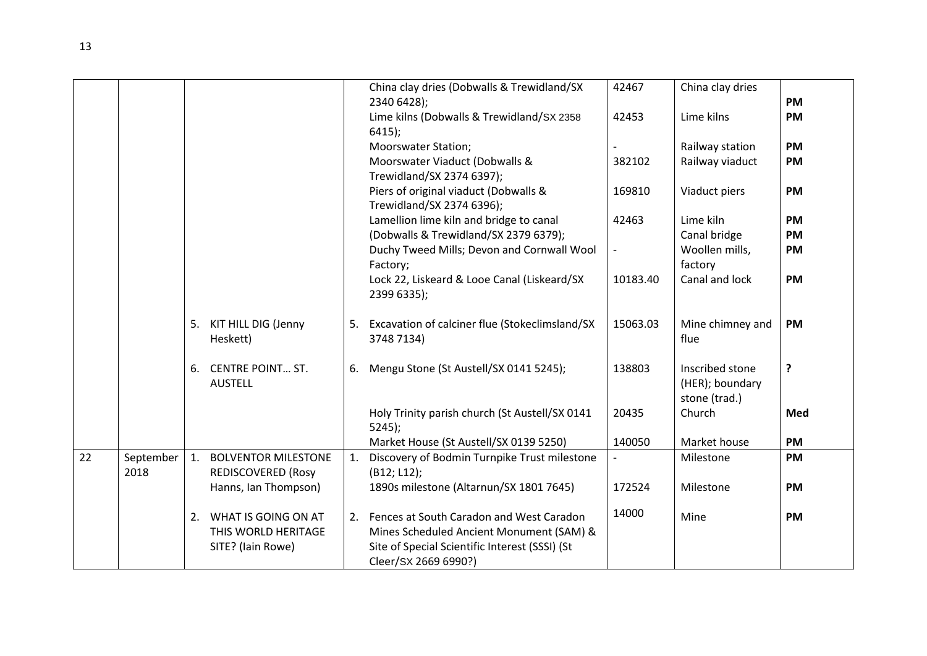|    |           |    |                            |    | China clay dries (Dobwalls & Trewidland/SX        | 42467    | China clay dries |           |
|----|-----------|----|----------------------------|----|---------------------------------------------------|----------|------------------|-----------|
|    |           |    |                            |    | 2340 6428);                                       |          |                  | <b>PM</b> |
|    |           |    |                            |    | Lime kilns (Dobwalls & Trewidland/SX 2358         | 42453    | Lime kilns       | <b>PM</b> |
|    |           |    |                            |    | $6415$ );                                         |          |                  |           |
|    |           |    |                            |    | <b>Moorswater Station;</b>                        |          | Railway station  | <b>PM</b> |
|    |           |    |                            |    | Moorswater Viaduct (Dobwalls &                    | 382102   | Railway viaduct  | <b>PM</b> |
|    |           |    |                            |    | Trewidland/SX 2374 6397);                         |          |                  |           |
|    |           |    |                            |    | Piers of original viaduct (Dobwalls &             | 169810   | Viaduct piers    | <b>PM</b> |
|    |           |    |                            |    | Trewidland/SX 2374 6396);                         |          |                  |           |
|    |           |    |                            |    | Lamellion lime kiln and bridge to canal           | 42463    | Lime kiln        | <b>PM</b> |
|    |           |    |                            |    | (Dobwalls & Trewidland/SX 2379 6379);             |          | Canal bridge     | <b>PM</b> |
|    |           |    |                            |    | Duchy Tweed Mills; Devon and Cornwall Wool        |          | Woollen mills,   | <b>PM</b> |
|    |           |    |                            |    | Factory;                                          |          | factory          |           |
|    |           |    |                            |    | Lock 22, Liskeard & Looe Canal (Liskeard/SX       | 10183.40 | Canal and lock   | <b>PM</b> |
|    |           |    |                            |    | 2399 6335);                                       |          |                  |           |
|    |           |    |                            |    |                                                   |          |                  |           |
|    |           |    | 5. KIT HILL DIG (Jenny     |    | 5. Excavation of calciner flue (Stokeclimsland/SX | 15063.03 | Mine chimney and | <b>PM</b> |
|    |           |    | Heskett)                   |    | 3748 7134)                                        |          | flue             |           |
|    |           |    |                            |    |                                                   |          |                  |           |
|    |           | 6. | <b>CENTRE POINT ST.</b>    |    | 6. Mengu Stone (St Austell/SX 0141 5245);         | 138803   | Inscribed stone  | ?         |
|    |           |    | <b>AUSTELL</b>             |    |                                                   |          | (HER); boundary  |           |
|    |           |    |                            |    |                                                   |          | stone (trad.)    |           |
|    |           |    |                            |    | Holy Trinity parish church (St Austell/SX 0141    | 20435    | Church           | Med       |
|    |           |    |                            |    | $5245$ :                                          |          |                  |           |
|    |           |    |                            |    | Market House (St Austell/SX 0139 5250)            | 140050   | Market house     | <b>PM</b> |
| 22 | September | 1. | <b>BOLVENTOR MILESTONE</b> | 1. | Discovery of Bodmin Turnpike Trust milestone      |          | Milestone        | <b>PM</b> |
|    | 2018      |    | <b>REDISCOVERED (Rosy</b>  |    | (B12; L12);                                       |          |                  |           |
|    |           |    | Hanns, Ian Thompson)       |    | 1890s milestone (Altarnun/SX 1801 7645)           | 172524   | Milestone        | <b>PM</b> |
|    |           |    |                            |    |                                                   |          |                  |           |
|    |           |    | 2. WHAT IS GOING ON AT     |    | 2. Fences at South Caradon and West Caradon       | 14000    | Mine             | <b>PM</b> |
|    |           |    | THIS WORLD HERITAGE        |    | Mines Scheduled Ancient Monument (SAM) &          |          |                  |           |
|    |           |    | SITE? (Iain Rowe)          |    | Site of Special Scientific Interest (SSSI) (St    |          |                  |           |
|    |           |    |                            |    | Cleer/SX 2669 6990?)                              |          |                  |           |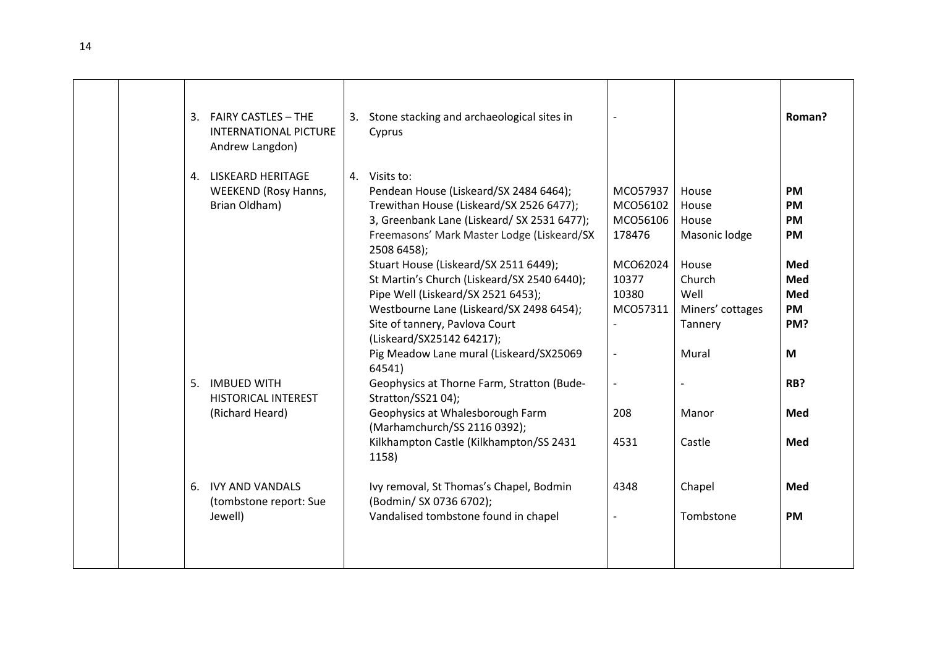| 3. FAIRY CASTLES - THE<br>3. Stone stacking and archaeological sites in<br>Roman?<br><b>INTERNATIONAL PICTURE</b><br>Cyprus<br>Andrew Langdon)<br>4. Visits to:<br>4. LISKEARD HERITAGE<br>Pendean House (Liskeard/SX 2484 6464);<br><b>WEEKEND (Rosy Hanns,</b><br>MCO57937<br>House<br><b>PM</b><br>Brian Oldham)<br>Trewithan House (Liskeard/SX 2526 6477);<br>MCO56102<br>House<br><b>PM</b><br>3, Greenbank Lane (Liskeard/ SX 2531 6477);<br>MCO56106<br>House<br><b>PM</b><br>Freemasons' Mark Master Lodge (Liskeard/SX<br>178476<br>Masonic lodge<br><b>PM</b><br>2508 6458);<br>Stuart House (Liskeard/SX 2511 6449);<br>MCO62024<br>House<br>Med<br>St Martin's Church (Liskeard/SX 2540 6440);<br>10377<br>Church<br><b>Med</b><br>Pipe Well (Liskeard/SX 2521 6453);<br>10380<br>Well<br>Med<br>Westbourne Lane (Liskeard/SX 2498 6454);<br>MCO57311<br>Miners' cottages<br><b>PM</b><br>Site of tannery, Pavlova Court<br>Tannery<br>PM?<br>(Liskeard/SX25142 64217);<br>Pig Meadow Lane mural (Liskeard/SX25069<br>Mural<br>M<br>$\overline{\phantom{a}}$<br>64541)<br>5. IMBUED WITH<br>Geophysics at Thorne Farm, Stratton (Bude-<br>RB?<br>$\overline{\phantom{a}}$<br>Stratton/SS21 04);<br><b>HISTORICAL INTEREST</b><br>Geophysics at Whalesborough Farm<br>(Richard Heard)<br>208<br><b>Med</b><br>Manor<br>(Marhamchurch/SS 2116 0392);<br>Kilkhampton Castle (Kilkhampton/SS 2431<br>4531<br>Castle<br><b>Med</b><br>1158)<br>6. IVY AND VANDALS<br>Ivy removal, St Thomas's Chapel, Bodmin<br>Chapel<br>4348<br>Med<br>(Bodmin/ SX 0736 6702);<br>(tombstone report: Sue<br>Vandalised tombstone found in chapel<br>Tombstone<br>Jewell)<br><b>PM</b> |  |  |  |  |
|---------------------------------------------------------------------------------------------------------------------------------------------------------------------------------------------------------------------------------------------------------------------------------------------------------------------------------------------------------------------------------------------------------------------------------------------------------------------------------------------------------------------------------------------------------------------------------------------------------------------------------------------------------------------------------------------------------------------------------------------------------------------------------------------------------------------------------------------------------------------------------------------------------------------------------------------------------------------------------------------------------------------------------------------------------------------------------------------------------------------------------------------------------------------------------------------------------------------------------------------------------------------------------------------------------------------------------------------------------------------------------------------------------------------------------------------------------------------------------------------------------------------------------------------------------------------------------------------------------------------------------------------------------------------------------|--|--|--|--|
|                                                                                                                                                                                                                                                                                                                                                                                                                                                                                                                                                                                                                                                                                                                                                                                                                                                                                                                                                                                                                                                                                                                                                                                                                                                                                                                                                                                                                                                                                                                                                                                                                                                                                 |  |  |  |  |
|                                                                                                                                                                                                                                                                                                                                                                                                                                                                                                                                                                                                                                                                                                                                                                                                                                                                                                                                                                                                                                                                                                                                                                                                                                                                                                                                                                                                                                                                                                                                                                                                                                                                                 |  |  |  |  |
|                                                                                                                                                                                                                                                                                                                                                                                                                                                                                                                                                                                                                                                                                                                                                                                                                                                                                                                                                                                                                                                                                                                                                                                                                                                                                                                                                                                                                                                                                                                                                                                                                                                                                 |  |  |  |  |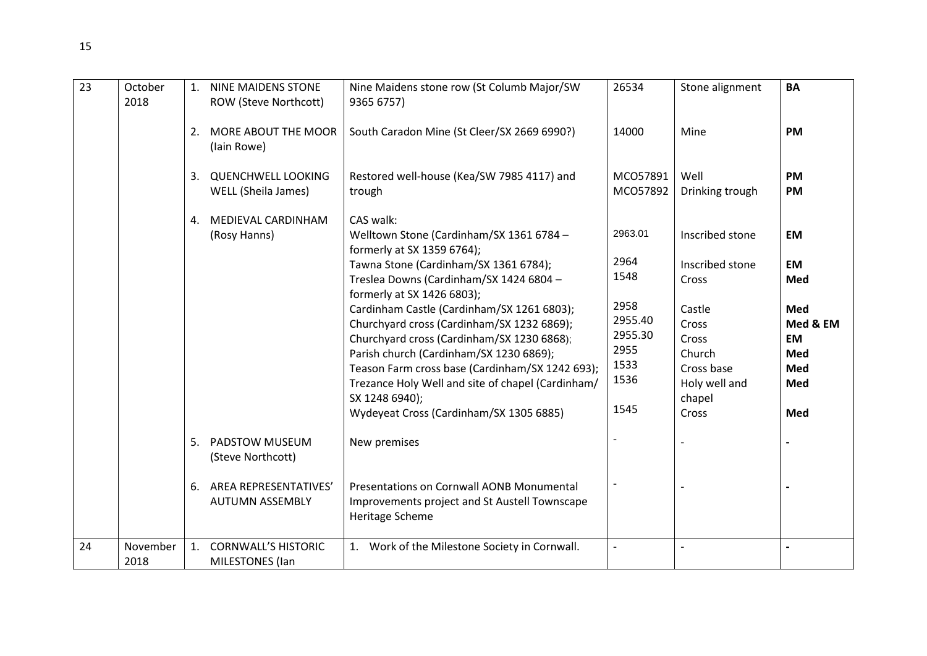| 23 | October<br>2018  |    | <b>NINE MAIDENS STONE</b><br>ROW (Steve Northcott)     | Nine Maidens stone row (St Columb Major/SW<br>9365 6757)                                                                                        | 26534                      | Stone alignment                       | <b>BA</b>                    |
|----|------------------|----|--------------------------------------------------------|-------------------------------------------------------------------------------------------------------------------------------------------------|----------------------------|---------------------------------------|------------------------------|
|    |                  | 2. | MORE ABOUT THE MOOR<br>(lain Rowe)                     | South Caradon Mine (St Cleer/SX 2669 6990?)                                                                                                     | 14000                      | Mine                                  | <b>PM</b>                    |
|    |                  | 3. | <b>QUENCHWELL LOOKING</b><br>WELL (Sheila James)       | Restored well-house (Kea/SW 7985 4117) and<br>trough                                                                                            | MCO57891<br>MCO57892       | Well<br>Drinking trough               | <b>PM</b><br>PM              |
|    |                  | 4. | MEDIEVAL CARDINHAM<br>(Rosy Hanns)                     | CAS walk:<br>Welltown Stone (Cardinham/SX 1361 6784 -<br>formerly at SX 1359 6764);                                                             | 2963.01                    | Inscribed stone                       | EM                           |
|    |                  |    |                                                        | Tawna Stone (Cardinham/SX 1361 6784);<br>Treslea Downs (Cardinham/SX 1424 6804 -<br>formerly at SX 1426 6803);                                  | 2964<br>1548               | Inscribed stone<br>Cross              | EM<br>Med                    |
|    |                  |    |                                                        | Cardinham Castle (Cardinham/SX 1261 6803);<br>Churchyard cross (Cardinham/SX 1232 6869);<br>Churchyard cross (Cardinham/SX 1230 6868);          | 2958<br>2955.40<br>2955.30 | Castle<br>Cross<br>Cross              | Med<br>Med & EM<br><b>EM</b> |
|    |                  |    |                                                        | Parish church (Cardinham/SX 1230 6869);<br>Teason Farm cross base (Cardinham/SX 1242 693);<br>Trezance Holy Well and site of chapel (Cardinham/ | 2955<br>1533<br>1536       | Church<br>Cross base<br>Holy well and | Med<br>Med<br>Med            |
|    |                  |    |                                                        | SX 1248 6940);<br>Wydeyeat Cross (Cardinham/SX 1305 6885)                                                                                       | 1545                       | chapel<br>Cross                       | Med                          |
|    |                  | 5. | PADSTOW MUSEUM<br>(Steve Northcott)                    | New premises                                                                                                                                    |                            |                                       |                              |
|    |                  | 6. | <b>AREA REPRESENTATIVES'</b><br><b>AUTUMN ASSEMBLY</b> | Presentations on Cornwall AONB Monumental<br>Improvements project and St Austell Townscape<br>Heritage Scheme                                   |                            |                                       |                              |
| 24 | November<br>2018 | 1. | <b>CORNWALL'S HISTORIC</b><br><b>MILESTONES</b> (Ian   | 1. Work of the Milestone Society in Cornwall.                                                                                                   | $\overline{a}$             |                                       | $\overline{a}$               |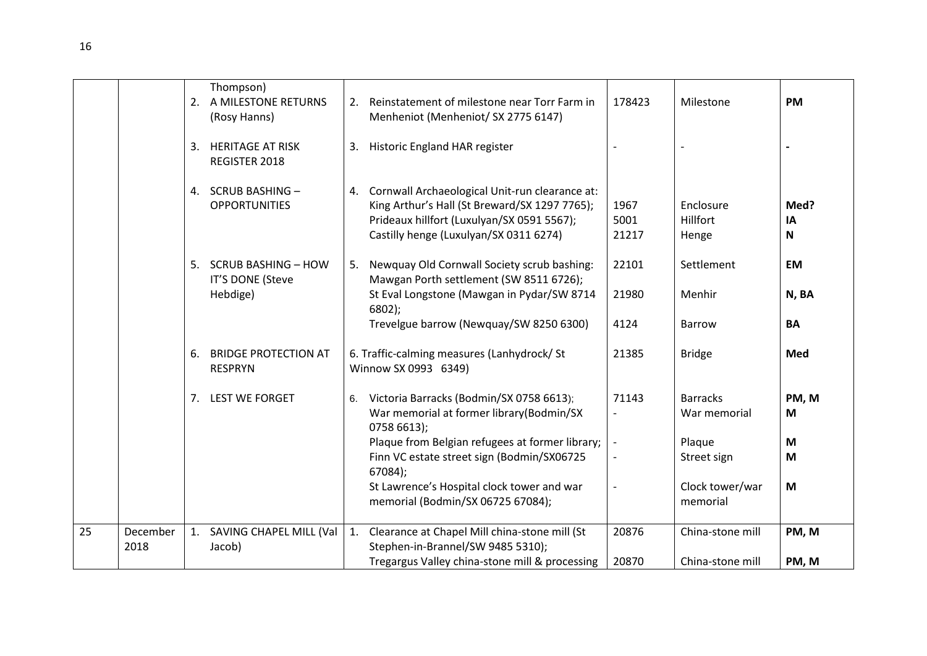|    |                  |    | Thompson)<br>2. A MILESTONE RETURNS<br>(Rosy Hanns) | 2. | Reinstatement of milestone near Torr Farm in<br>Menheniot (Menheniot/ SX 2775 6147)                                                                                                     | 178423                   | Milestone                       | <b>PM</b>                 |
|----|------------------|----|-----------------------------------------------------|----|-----------------------------------------------------------------------------------------------------------------------------------------------------------------------------------------|--------------------------|---------------------------------|---------------------------|
|    |                  | 3. | <b>HERITAGE AT RISK</b><br>REGISTER 2018            |    | 3. Historic England HAR register                                                                                                                                                        |                          |                                 |                           |
|    |                  |    | 4. SCRUB BASHING -<br><b>OPPORTUNITIES</b>          | 4. | Cornwall Archaeological Unit-run clearance at:<br>King Arthur's Hall (St Breward/SX 1297 7765);<br>Prideaux hillfort (Luxulyan/SX 0591 5567);<br>Castilly henge (Luxulyan/SX 0311 6274) | 1967<br>5001<br>21217    | Enclosure<br>Hillfort<br>Henge  | Med?<br>IA<br>$\mathbf N$ |
|    |                  | 5. | <b>SCRUB BASHING - HOW</b><br>IT'S DONE (Steve      | 5. | Newquay Old Cornwall Society scrub bashing:<br>Mawgan Porth settlement (SW 8511 6726);                                                                                                  | 22101                    | Settlement                      | EM                        |
|    |                  |    | Hebdige)                                            |    | St Eval Longstone (Mawgan in Pydar/SW 8714<br>$6802$ );                                                                                                                                 | 21980                    | Menhir                          | N, BA                     |
|    |                  |    |                                                     |    | Trevelgue barrow (Newquay/SW 8250 6300)                                                                                                                                                 | 4124                     | <b>Barrow</b>                   | <b>BA</b>                 |
|    |                  | 6. | <b>BRIDGE PROTECTION AT</b><br><b>RESPRYN</b>       |    | 6. Traffic-calming measures (Lanhydrock/ St<br>Winnow SX 0993 6349)                                                                                                                     | 21385                    | <b>Bridge</b>                   | Med                       |
|    |                  |    | 7. LEST WE FORGET                                   | 6. | Victoria Barracks (Bodmin/SX 0758 6613);<br>War memorial at former library(Bodmin/SX<br>0758 6613);                                                                                     | 71143                    | <b>Barracks</b><br>War memorial | PM, M<br>M                |
|    |                  |    |                                                     |    | Plaque from Belgian refugees at former library;<br>Finn VC estate street sign (Bodmin/SX06725<br>67084);                                                                                | $\overline{\phantom{a}}$ | Plaque<br>Street sign           | M<br>M                    |
|    |                  |    |                                                     |    | St Lawrence's Hospital clock tower and war<br>memorial (Bodmin/SX 06725 67084);                                                                                                         |                          | Clock tower/war<br>memorial     | M                         |
| 25 | December<br>2018 |    | 1. SAVING CHAPEL MILL (Val<br>Jacob)                | 1. | Clearance at Chapel Mill china-stone mill (St<br>Stephen-in-Brannel/SW 9485 5310);                                                                                                      | 20876                    | China-stone mill                | PM, M                     |
|    |                  |    |                                                     |    | Tregargus Valley china-stone mill & processing                                                                                                                                          | 20870                    | China-stone mill                | PM, M                     |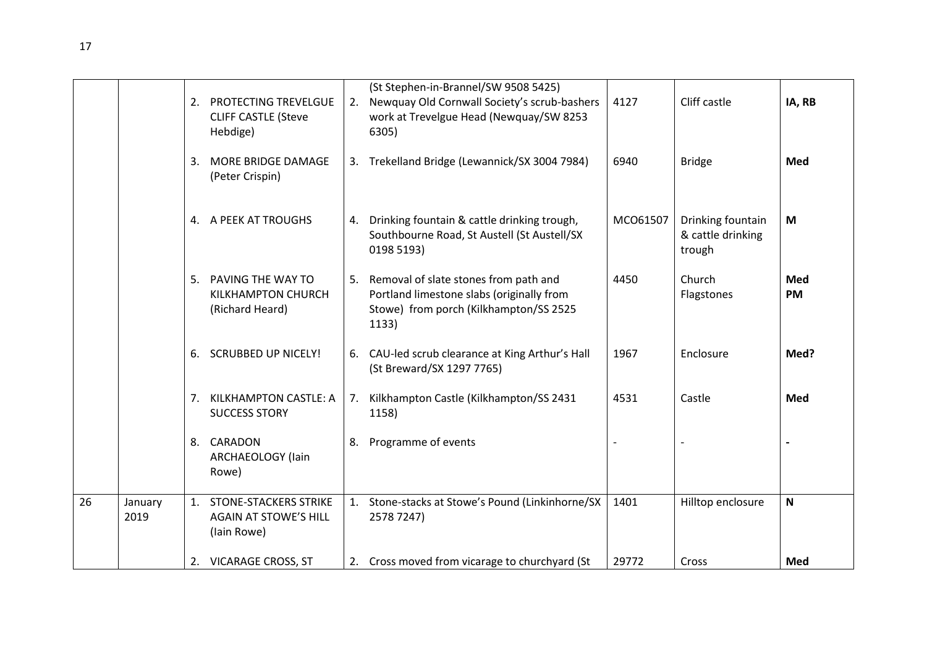|    |                 | 2.             | PROTECTING TREVELGUE<br><b>CLIFF CASTLE (Steve</b><br>Hebdige)          | 2. | (St Stephen-in-Brannel/SW 9508 5425)<br>Newquay Old Cornwall Society's scrub-bashers<br>work at Trevelgue Head (Newquay/SW 8253<br>6305) | 4127     | Cliff castle                                     | IA, RB       |
|----|-----------------|----------------|-------------------------------------------------------------------------|----|------------------------------------------------------------------------------------------------------------------------------------------|----------|--------------------------------------------------|--------------|
|    |                 | 3.             | <b>MORE BRIDGE DAMAGE</b><br>(Peter Crispin)                            |    | 3. Trekelland Bridge (Lewannick/SX 3004 7984)                                                                                            | 6940     | <b>Bridge</b>                                    | Med          |
|    |                 |                | 4. A PEEK AT TROUGHS                                                    | 4. | Drinking fountain & cattle drinking trough,<br>Southbourne Road, St Austell (St Austell/SX<br>0198 5193)                                 | MCO61507 | Drinking fountain<br>& cattle drinking<br>trough | M            |
|    |                 | 5.             | PAVING THE WAY TO<br>KILKHAMPTON CHURCH<br>(Richard Heard)              | 5. | Removal of slate stones from path and<br>Portland limestone slabs (originally from<br>Stowe) from porch (Kilkhampton/SS 2525<br>1133)    | 4450     | Church<br>Flagstones                             | Med<br>PM    |
|    |                 | 6.             | <b>SCRUBBED UP NICELY!</b>                                              |    | 6. CAU-led scrub clearance at King Arthur's Hall<br>(St Breward/SX 1297 7765)                                                            | 1967     | Enclosure                                        | Med?         |
|    |                 | 7 <sub>1</sub> | KILKHAMPTON CASTLE: A<br><b>SUCCESS STORY</b>                           | 7. | Kilkhampton Castle (Kilkhampton/SS 2431<br>1158)                                                                                         | 4531     | Castle                                           | Med          |
|    |                 |                | 8. CARADON<br>ARCHAEOLOGY (lain<br>Rowe)                                | 8. | Programme of events                                                                                                                      |          |                                                  |              |
| 26 | January<br>2019 |                | 1. STONE-STACKERS STRIKE<br><b>AGAIN AT STOWE'S HILL</b><br>(lain Rowe) |    | 1. Stone-stacks at Stowe's Pound (Linkinhorne/SX<br>2578 7247)                                                                           | 1401     | Hilltop enclosure                                | $\mathsf{N}$ |
|    |                 |                | 2. VICARAGE CROSS, ST                                                   |    | 2. Cross moved from vicarage to churchyard (St                                                                                           | 29772    | Cross                                            | Med          |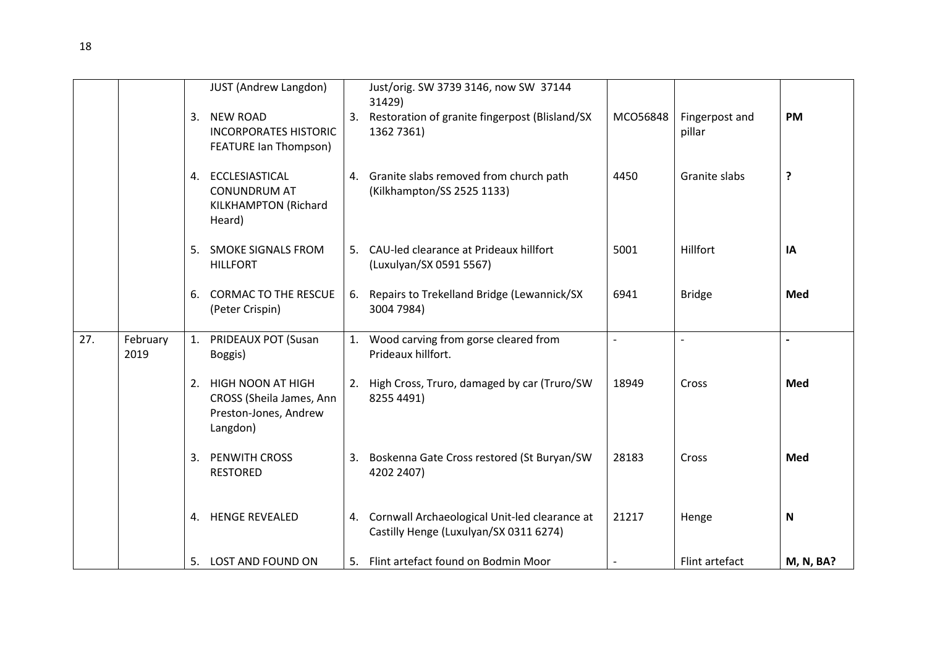|     |                  |    | <b>JUST (Andrew Langdon)</b>                                                          | Just/orig. SW 3739 3146, now SW 37144                                                      |          |                          |                  |
|-----|------------------|----|---------------------------------------------------------------------------------------|--------------------------------------------------------------------------------------------|----------|--------------------------|------------------|
|     |                  | 3. | <b>NEW ROAD</b><br><b>INCORPORATES HISTORIC</b><br>FEATURE Ian Thompson)              | 31429)<br>3. Restoration of granite fingerpost (Blisland/SX<br>1362 7361)                  | MCO56848 | Fingerpost and<br>pillar | <b>PM</b>        |
|     |                  |    | 4. ECCLESIASTICAL<br><b>CONUNDRUM AT</b><br>KILKHAMPTON (Richard<br>Heard)            | 4. Granite slabs removed from church path<br>(Kilkhampton/SS 2525 1133)                    | 4450     | Granite slabs            | ?                |
|     |                  |    | 5. SMOKE SIGNALS FROM<br><b>HILLFORT</b>                                              | 5. CAU-led clearance at Prideaux hillfort<br>(Luxulyan/SX 0591 5567)                       | 5001     | Hillfort                 | IA               |
|     |                  | 6. | <b>CORMAC TO THE RESCUE</b><br>(Peter Crispin)                                        | 6. Repairs to Trekelland Bridge (Lewannick/SX<br>3004 7984)                                | 6941     | <b>Bridge</b>            | Med              |
| 27. | February<br>2019 |    | 1. PRIDEAUX POT (Susan<br>Boggis)                                                     | 1. Wood carving from gorse cleared from<br>Prideaux hillfort.                              |          |                          |                  |
|     |                  |    | 2. HIGH NOON AT HIGH<br>CROSS (Sheila James, Ann<br>Preston-Jones, Andrew<br>Langdon) | 2. High Cross, Truro, damaged by car (Truro/SW<br>8255 4491)                               | 18949    | Cross                    | Med              |
|     |                  | 3. | <b>PENWITH CROSS</b><br><b>RESTORED</b>                                               | 3. Boskenna Gate Cross restored (St Buryan/SW<br>4202 2407)                                | 28183    | Cross                    | Med              |
|     |                  |    | 4. HENGE REVEALED                                                                     | 4. Cornwall Archaeological Unit-led clearance at<br>Castilly Henge (Luxulyan/SX 0311 6274) | 21217    | Henge                    | N                |
|     |                  |    | 5. LOST AND FOUND ON                                                                  | 5. Flint artefact found on Bodmin Moor                                                     |          | Flint artefact           | <b>M, N, BA?</b> |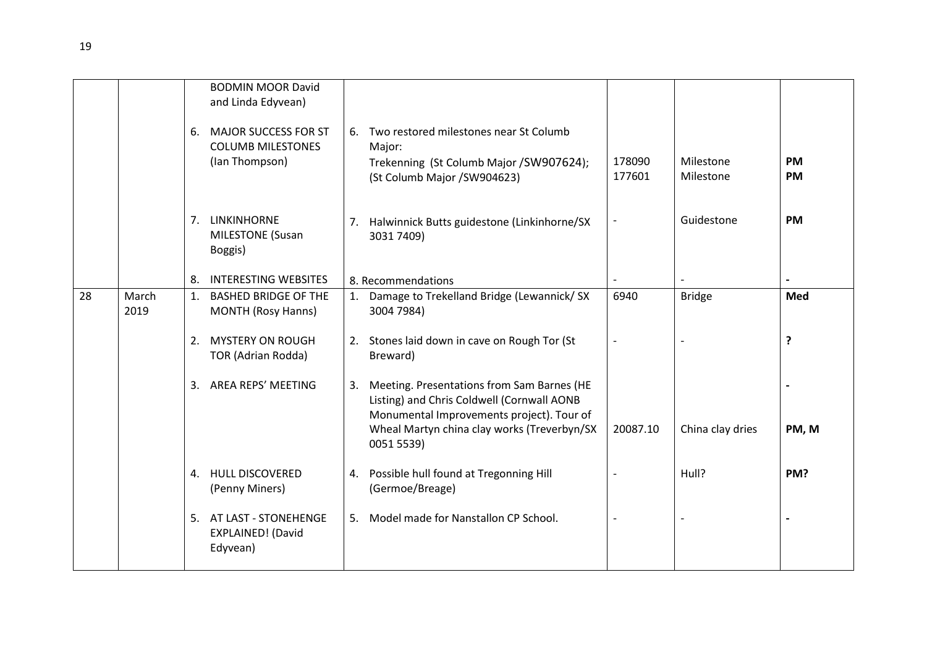|    |               | 6. | <b>BODMIN MOOR David</b><br>and Linda Edyvean)<br><b>MAJOR SUCCESS FOR ST</b><br><b>COLUMB MILESTONES</b><br>(Ian Thompson) | 6. Two restored milestones near St Columb<br>Major:<br>Trekenning (St Columb Major / SW907624);<br>(St Columb Major / SW904623)                                                                       | 178090<br>177601 | Milestone<br>Milestone | <b>PM</b><br><b>PM</b> |
|----|---------------|----|-----------------------------------------------------------------------------------------------------------------------------|-------------------------------------------------------------------------------------------------------------------------------------------------------------------------------------------------------|------------------|------------------------|------------------------|
|    |               |    | 7. LINKINHORNE<br><b>MILESTONE</b> (Susan<br>Boggis)                                                                        | 7. Halwinnick Butts guidestone (Linkinhorne/SX<br>3031 7409)                                                                                                                                          |                  | Guidestone             | <b>PM</b>              |
|    |               | 8. | <b>INTERESTING WEBSITES</b>                                                                                                 | 8. Recommendations                                                                                                                                                                                    |                  |                        |                        |
| 28 | March<br>2019 | 1. | <b>BASHED BRIDGE OF THE</b><br><b>MONTH (Rosy Hanns)</b>                                                                    | 1. Damage to Trekelland Bridge (Lewannick/ SX<br>3004 7984)                                                                                                                                           | 6940             | <b>Bridge</b>          | Med                    |
|    |               | 2. | <b>MYSTERY ON ROUGH</b><br>TOR (Adrian Rodda)                                                                               | 2. Stones laid down in cave on Rough Tor (St<br>Breward)                                                                                                                                              |                  |                        | ?                      |
|    |               |    | 3. AREA REPS' MEETING                                                                                                       | 3. Meeting. Presentations from Sam Barnes (HE<br>Listing) and Chris Coldwell (Cornwall AONB<br>Monumental Improvements project). Tour of<br>Wheal Martyn china clay works (Treverbyn/SX<br>0051 5539) | 20087.10         | China clay dries       | PM, M                  |
|    |               |    | 4. HULL DISCOVERED<br>(Penny Miners)                                                                                        | 4. Possible hull found at Tregonning Hill<br>(Germoe/Breage)                                                                                                                                          |                  | Hull?                  | PM?                    |
|    |               |    | 5. AT LAST - STONEHENGE<br>EXPLAINED! (David<br>Edyvean)                                                                    | 5. Model made for Nanstallon CP School.                                                                                                                                                               |                  |                        |                        |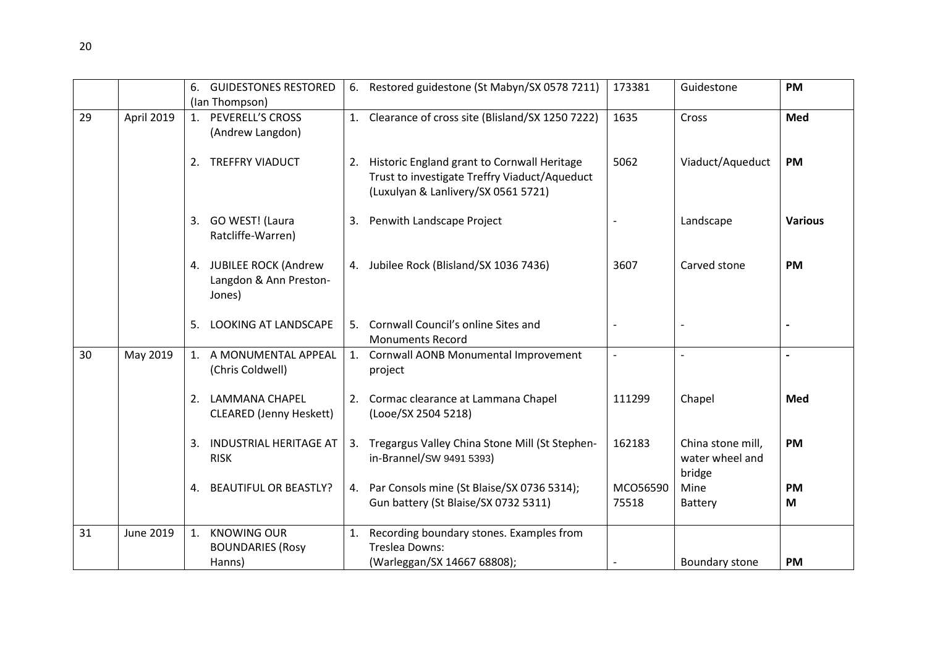|    |                  | <b>GUIDESTONES RESTORED</b><br>6.   |    | 6. Restored guidestone (St Mabyn/SX 0578 7211)                                        | 173381            | Guidestone        | <b>PM</b>      |
|----|------------------|-------------------------------------|----|---------------------------------------------------------------------------------------|-------------------|-------------------|----------------|
|    |                  | (Ian Thompson)                      |    |                                                                                       |                   |                   |                |
| 29 | April 2019       | 1. PEVERELL'S CROSS                 |    | 1. Clearance of cross site (Blisland/SX 1250 7222)                                    | 1635              | Cross             | Med            |
|    |                  | (Andrew Langdon)                    |    |                                                                                       |                   |                   |                |
|    |                  |                                     |    |                                                                                       |                   |                   |                |
|    |                  | 2. TREFFRY VIADUCT                  |    | 2. Historic England grant to Cornwall Heritage                                        | 5062              | Viaduct/Aqueduct  | <b>PM</b>      |
|    |                  |                                     |    | Trust to investigate Treffry Viaduct/Aqueduct                                         |                   |                   |                |
|    |                  |                                     |    | (Luxulyan & Lanlivery/SX 0561 5721)                                                   |                   |                   |                |
|    |                  | 3. GO WEST! (Laura                  |    | 3. Penwith Landscape Project                                                          |                   | Landscape         | <b>Various</b> |
|    |                  | Ratcliffe-Warren)                   |    |                                                                                       |                   |                   |                |
|    |                  |                                     |    |                                                                                       |                   |                   |                |
|    |                  | 4. JUBILEE ROCK (Andrew             |    | 4. Jubilee Rock (Blisland/SX 1036 7436)                                               | 3607              | Carved stone      | <b>PM</b>      |
|    |                  | Langdon & Ann Preston-              |    |                                                                                       |                   |                   |                |
|    |                  | Jones)                              |    |                                                                                       |                   |                   |                |
|    |                  |                                     |    |                                                                                       |                   |                   |                |
|    |                  | <b>LOOKING AT LANDSCAPE</b><br>5.   | 5. | Cornwall Council's online Sites and<br><b>Monuments Record</b>                        |                   |                   |                |
| 30 | May 2019         | 1. A MONUMENTAL APPEAL              |    | 1. Cornwall AONB Monumental Improvement                                               |                   |                   |                |
|    |                  | (Chris Coldwell)                    |    | project                                                                               |                   |                   |                |
|    |                  |                                     |    |                                                                                       |                   |                   |                |
|    |                  | 2. LAMMANA CHAPEL                   |    | 2. Cormac clearance at Lammana Chapel                                                 | 111299            | Chapel            | Med            |
|    |                  | <b>CLEARED</b> (Jenny Heskett)      |    | (Looe/SX 2504 5218)                                                                   |                   |                   |                |
|    |                  |                                     |    |                                                                                       |                   |                   |                |
|    |                  | <b>INDUSTRIAL HERITAGE AT</b><br>3. |    | 3. Tregargus Valley China Stone Mill (St Stephen-                                     | 162183            | China stone mill, | <b>PM</b>      |
|    |                  | <b>RISK</b>                         |    | in-Brannel/SW 9491 5393)                                                              |                   | water wheel and   |                |
|    |                  |                                     |    |                                                                                       |                   | bridge            |                |
|    |                  | <b>BEAUTIFUL OR BEASTLY?</b><br>4.  |    | 4. Par Consols mine (St Blaise/SX 0736 5314);<br>Gun battery (St Blaise/SX 0732 5311) | MCO56590<br>75518 | Mine              | <b>PM</b><br>M |
|    |                  |                                     |    |                                                                                       |                   | Battery           |                |
| 31 | <b>June 2019</b> | <b>KNOWING OUR</b><br>1.            | 1. | Recording boundary stones. Examples from                                              |                   |                   |                |
|    |                  | <b>BOUNDARIES (Rosy</b>             |    | <b>Treslea Downs:</b>                                                                 |                   |                   |                |
|    |                  | Hanns)                              |    | (Warleggan/SX 14667 68808);                                                           |                   | Boundary stone    | PM             |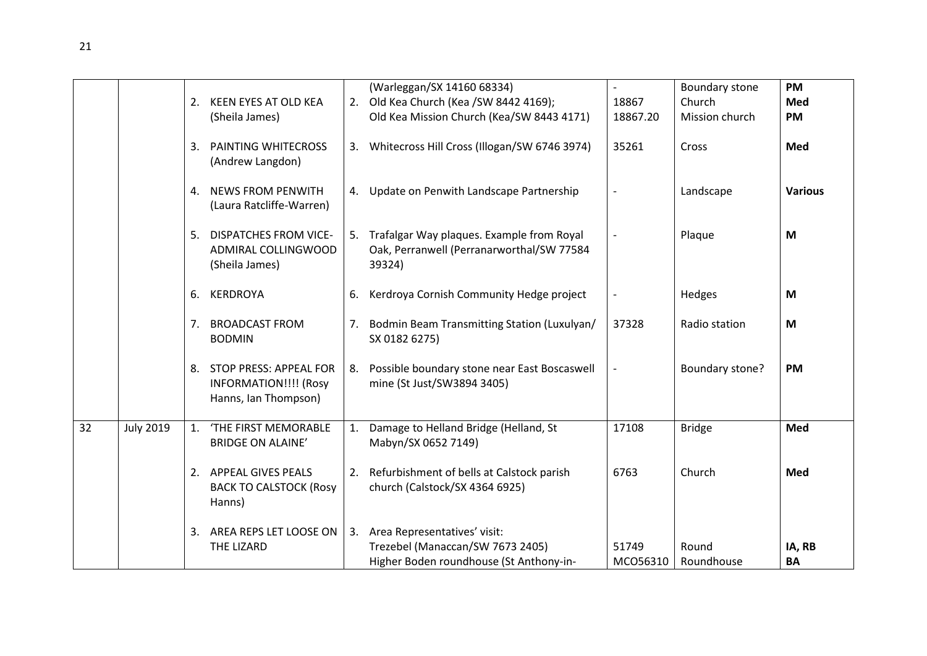|    |                  |                |                                                                                   |    | (Warleggan/SX 14160 68334)                                                                                     |                          | Boundary stone      | <b>PM</b>           |
|----|------------------|----------------|-----------------------------------------------------------------------------------|----|----------------------------------------------------------------------------------------------------------------|--------------------------|---------------------|---------------------|
|    |                  | 2.             | KEEN EYES AT OLD KEA                                                              |    | 2. Old Kea Church (Kea /SW 8442 4169);                                                                         | 18867                    | Church              | Med                 |
|    |                  |                | (Sheila James)                                                                    |    | Old Kea Mission Church (Kea/SW 8443 4171)                                                                      | 18867.20                 | Mission church      | <b>PM</b>           |
|    |                  | 3.             | <b>PAINTING WHITECROSS</b><br>(Andrew Langdon)                                    |    | 3. Whitecross Hill Cross (Illogan/SW 6746 3974)                                                                | 35261                    | Cross               | Med                 |
|    |                  |                | 4. NEWS FROM PENWITH<br>(Laura Ratcliffe-Warren)                                  |    | 4. Update on Penwith Landscape Partnership                                                                     | $\overline{\phantom{a}}$ | Landscape           | <b>Various</b>      |
|    |                  | 5.             | <b>DISPATCHES FROM VICE-</b><br>ADMIRAL COLLINGWOOD<br>(Sheila James)             |    | 5. Trafalgar Way plaques. Example from Royal<br>Oak, Perranwell (Perranarworthal/SW 77584<br>39324)            | $\overline{\phantom{a}}$ | Plaque              | M                   |
|    |                  | 6.             | KERDROYA                                                                          | 6. | Kerdroya Cornish Community Hedge project                                                                       |                          | Hedges              | M                   |
|    |                  | 7.             | <b>BROADCAST FROM</b><br><b>BODMIN</b>                                            |    | 7. Bodmin Beam Transmitting Station (Luxulyan/<br>SX 0182 6275)                                                | 37328                    | Radio station       | M                   |
|    |                  |                | 8. STOP PRESS: APPEAL FOR<br><b>INFORMATION!!!! (Rosy</b><br>Hanns, Ian Thompson) |    | 8. Possible boundary stone near East Boscaswell<br>mine (St Just/SW3894 3405)                                  |                          | Boundary stone?     | <b>PM</b>           |
| 32 | <b>July 2019</b> | $\mathbf{1}$ . | 'THE FIRST MEMORABLE<br><b>BRIDGE ON ALAINE'</b>                                  |    | 1. Damage to Helland Bridge (Helland, St<br>Mabyn/SX 0652 7149)                                                | 17108                    | <b>Bridge</b>       | Med                 |
|    |                  |                | 2. APPEAL GIVES PEALS<br><b>BACK TO CALSTOCK (Rosy</b><br>Hanns)                  |    | 2. Refurbishment of bells at Calstock parish<br>church (Calstock/SX 4364 6925)                                 | 6763                     | Church              | Med                 |
|    |                  | 3.             | AREA REPS LET LOOSE ON<br>THE LIZARD                                              |    | 3. Area Representatives' visit:<br>Trezebel (Manaccan/SW 7673 2405)<br>Higher Boden roundhouse (St Anthony-in- | 51749<br>MCO56310        | Round<br>Roundhouse | IA, RB<br><b>BA</b> |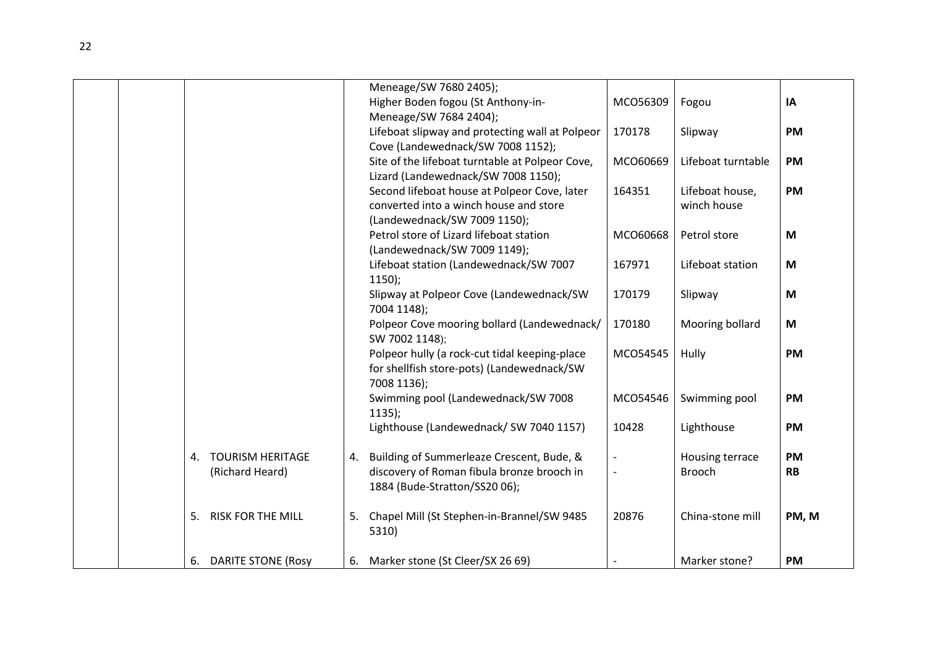|  |    |                           |    | Meneage/SW 7680 2405);                          |          |                    |           |
|--|----|---------------------------|----|-------------------------------------------------|----------|--------------------|-----------|
|  |    |                           |    | Higher Boden fogou (St Anthony-in-              | MCO56309 | Fogou              | IA        |
|  |    |                           |    | Meneage/SW 7684 2404);                          |          |                    |           |
|  |    |                           |    | Lifeboat slipway and protecting wall at Polpeor | 170178   | Slipway            | <b>PM</b> |
|  |    |                           |    | Cove (Landewednack/SW 7008 1152);               |          |                    |           |
|  |    |                           |    | Site of the lifeboat turntable at Polpeor Cove, | MCO60669 | Lifeboat turntable | <b>PM</b> |
|  |    |                           |    | Lizard (Landewednack/SW 7008 1150);             |          |                    |           |
|  |    |                           |    | Second lifeboat house at Polpeor Cove, later    | 164351   | Lifeboat house,    | <b>PM</b> |
|  |    |                           |    | converted into a winch house and store          |          | winch house        |           |
|  |    |                           |    | (Landewednack/SW 7009 1150);                    |          |                    |           |
|  |    |                           |    | Petrol store of Lizard lifeboat station         | MCO60668 | Petrol store       | M         |
|  |    |                           |    | (Landewednack/SW 7009 1149);                    |          |                    |           |
|  |    |                           |    | Lifeboat station (Landewednack/SW 7007          | 167971   | Lifeboat station   | M         |
|  |    |                           |    | $1150$ );                                       |          |                    |           |
|  |    |                           |    | Slipway at Polpeor Cove (Landewednack/SW        | 170179   | Slipway            | M         |
|  |    |                           |    | 7004 1148);                                     |          |                    |           |
|  |    |                           |    | Polpeor Cove mooring bollard (Landewednack/     | 170180   | Mooring bollard    | M         |
|  |    |                           |    | SW 7002 1148);                                  |          |                    |           |
|  |    |                           |    | Polpeor hully (a rock-cut tidal keeping-place   | MCO54545 | Hully              | <b>PM</b> |
|  |    |                           |    | for shellfish store-pots) (Landewednack/SW      |          |                    |           |
|  |    |                           |    | 7008 1136);                                     |          |                    |           |
|  |    |                           |    | Swimming pool (Landewednack/SW 7008             | MCO54546 | Swimming pool      | <b>PM</b> |
|  |    |                           |    | $1135$ :                                        |          |                    |           |
|  |    |                           |    | Lighthouse (Landewednack/ SW 7040 1157)         | 10428    | Lighthouse         | <b>PM</b> |
|  |    |                           |    |                                                 |          |                    |           |
|  | 4. | <b>TOURISM HERITAGE</b>   | 4. | Building of Summerleaze Crescent, Bude, &       |          | Housing terrace    | <b>PM</b> |
|  |    | (Richard Heard)           |    | discovery of Roman fibula bronze brooch in      |          | <b>Brooch</b>      | <b>RB</b> |
|  |    |                           |    | 1884 (Bude-Stratton/SS20 06);                   |          |                    |           |
|  |    |                           |    |                                                 |          |                    |           |
|  | 5. | <b>RISK FOR THE MILL</b>  | 5. | Chapel Mill (St Stephen-in-Brannel/SW 9485      | 20876    | China-stone mill   | PM, M     |
|  |    |                           |    | 5310)                                           |          |                    |           |
|  |    |                           |    |                                                 |          |                    |           |
|  | 6. | <b>DARITE STONE (Rosy</b> |    | 6. Marker stone (St Cleer/SX 26 69)             |          | Marker stone?      | <b>PM</b> |
|  |    |                           |    |                                                 |          |                    |           |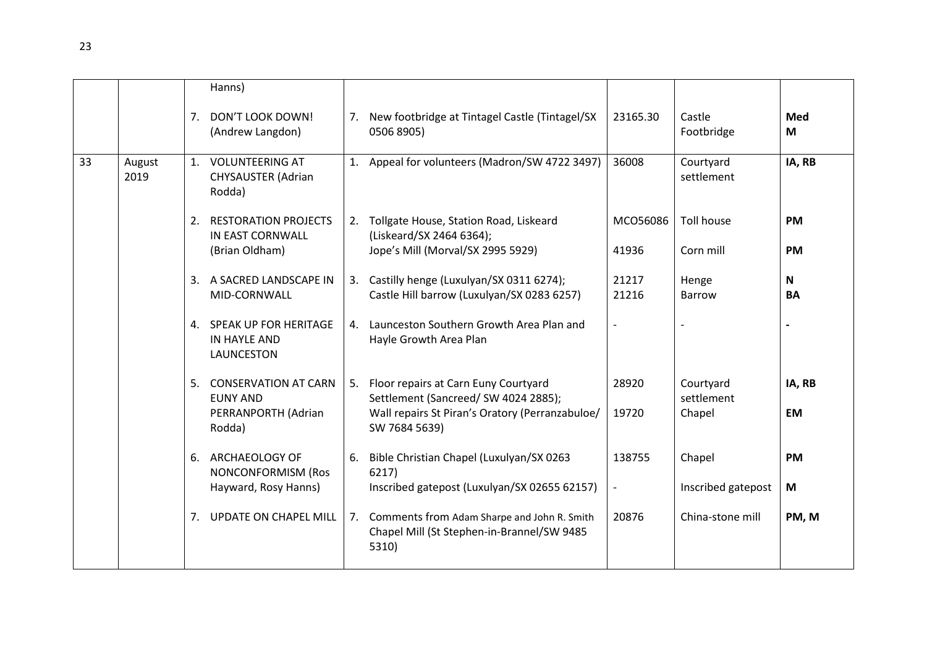|    |                |    | Hanns)                                                                      |                                                                                                                                                     |                                    |                                   |                           |
|----|----------------|----|-----------------------------------------------------------------------------|-----------------------------------------------------------------------------------------------------------------------------------------------------|------------------------------------|-----------------------------------|---------------------------|
|    |                | 7. | DON'T LOOK DOWN!<br>(Andrew Langdon)                                        | 7. New footbridge at Tintagel Castle (Tintagel/SX<br>0506 8905)                                                                                     | 23165.30                           | Castle<br>Footbridge              | Med<br>M                  |
| 33 | August<br>2019 |    | 1. VOLUNTEERING AT<br><b>CHYSAUSTER (Adrian</b><br>Rodda)                   | 1. Appeal for volunteers (Madron/SW 4722 3497)                                                                                                      | 36008                              | Courtyard<br>settlement           | IA, RB                    |
|    |                |    | 2. RESTORATION PROJECTS<br>IN EAST CORNWALL<br>(Brian Oldham)               | 2. Tollgate House, Station Road, Liskeard<br>(Liskeard/SX 2464 6364);<br>Jope's Mill (Morval/SX 2995 5929)                                          | MCO56086<br>41936                  | <b>Toll house</b><br>Corn mill    | <b>PM</b><br><b>PM</b>    |
|    |                |    | 3. A SACRED LANDSCAPE IN<br>MID-CORNWALL                                    | 3. Castilly henge (Luxulyan/SX 0311 6274);<br>Castle Hill barrow (Luxulyan/SX 0283 6257)                                                            | 21217<br>21216                     | Henge<br><b>Barrow</b>            | $\mathsf{N}$<br><b>BA</b> |
|    |                |    | 4. SPEAK UP FOR HERITAGE<br>IN HAYLE AND<br>LAUNCESTON                      | 4. Launceston Southern Growth Area Plan and<br>Hayle Growth Area Plan                                                                               | $\overline{\phantom{a}}$           |                                   |                           |
|    |                |    | 5. CONSERVATION AT CARN<br><b>EUNY AND</b><br>PERRANPORTH (Adrian<br>Rodda) | 5. Floor repairs at Carn Euny Courtyard<br>Settlement (Sancreed/ SW 4024 2885);<br>Wall repairs St Piran's Oratory (Perranzabuloe/<br>SW 7684 5639) | 28920<br>19720                     | Courtyard<br>settlement<br>Chapel | IA, RB<br><b>EM</b>       |
|    |                |    | 6. ARCHAEOLOGY OF<br><b>NONCONFORMISM (Ros</b><br>Hayward, Rosy Hanns)      | 6. Bible Christian Chapel (Luxulyan/SX 0263<br>6217)<br>Inscribed gatepost (Luxulyan/SX 02655 62157)                                                | 138755<br>$\overline{\phantom{a}}$ | Chapel<br>Inscribed gatepost      | <b>PM</b><br>M            |
|    |                |    | 7. UPDATE ON CHAPEL MILL                                                    | 7. Comments from Adam Sharpe and John R. Smith<br>Chapel Mill (St Stephen-in-Brannel/SW 9485<br>5310)                                               | 20876                              | China-stone mill                  | PM, M                     |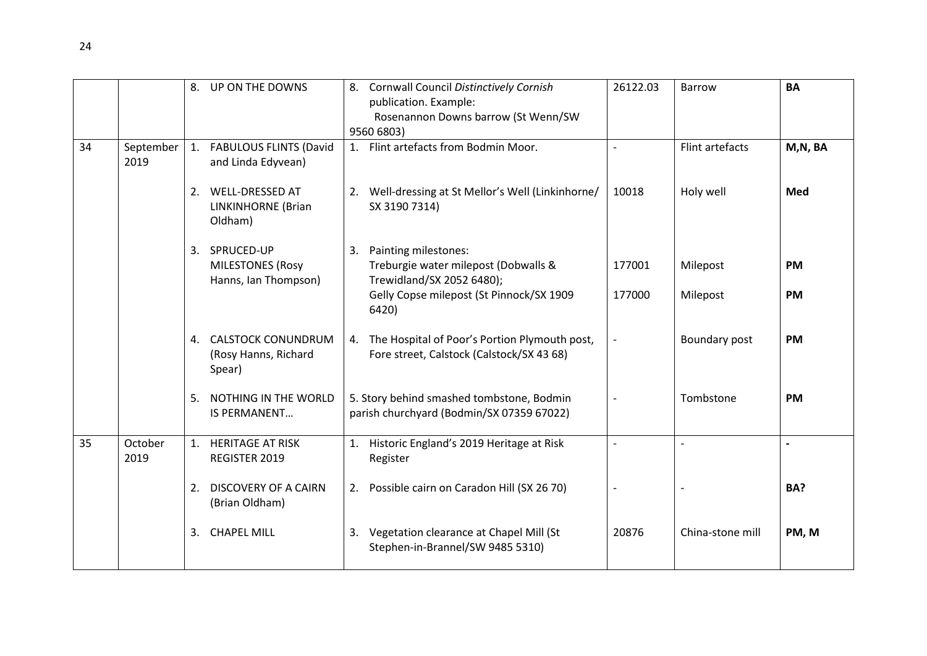|    |                   | 8.             | UP ON THE DOWNS                                               | 8. Cornwall Council Distinctively Cornish<br>26122.03<br><b>Barrow</b><br>publication. Example:                    | <b>BA</b> |
|----|-------------------|----------------|---------------------------------------------------------------|--------------------------------------------------------------------------------------------------------------------|-----------|
|    |                   |                |                                                               | Rosenannon Downs barrow (St Wenn/SW<br>9560 6803)                                                                  |           |
| 34 | September<br>2019 | 1.             | <b>FABULOUS FLINTS (David</b><br>and Linda Edyvean)           | 1. Flint artefacts from Bodmin Moor.<br>Flint artefacts                                                            | M,N, BA   |
|    |                   | 2.             | <b>WELL-DRESSED AT</b><br>LINKINHORNE (Brian<br>Oldham)       | 2. Well-dressing at St Mellor's Well (Linkinhorne/<br>10018<br>Holy well<br>SX 3190 7314)                          | Med       |
|    |                   | 3.             | SPRUCED-UP<br><b>MILESTONES (Rosy</b><br>Hanns, Ian Thompson) | 3. Painting milestones:<br>Treburgie water milepost (Dobwalls &<br>177001<br>Milepost<br>Trewidland/SX 2052 6480); | <b>PM</b> |
|    |                   |                |                                                               | Gelly Copse milepost (St Pinnock/SX 1909<br>177000<br>Milepost<br>6420)                                            | <b>PM</b> |
|    |                   |                | 4. CALSTOCK CONUNDRUM<br>(Rosy Hanns, Richard<br>Spear)       | 4. The Hospital of Poor's Portion Plymouth post,<br>Boundary post<br>Fore street, Calstock (Calstock/SX 43 68)     | <b>PM</b> |
|    |                   | 5.             | NOTHING IN THE WORLD<br><b>IS PERMANENT</b>                   | 5. Story behind smashed tombstone, Bodmin<br>Tombstone<br>parish churchyard (Bodmin/SX 07359 67022)                | <b>PM</b> |
| 35 | October<br>2019   | $\mathbf{1}$ . | <b>HERITAGE AT RISK</b><br>REGISTER 2019                      | 1. Historic England's 2019 Heritage at Risk<br>$\sim$<br>Register                                                  |           |
|    |                   | 2.             | <b>DISCOVERY OF A CAIRN</b><br>(Brian Oldham)                 | 2. Possible cairn on Caradon Hill (SX 26 70)                                                                       | BA?       |
|    |                   | 3.             | <b>CHAPEL MILL</b>                                            | 3. Vegetation clearance at Chapel Mill (St<br>20876<br>China-stone mill<br>Stephen-in-Brannel/SW 9485 5310)        | PM, M     |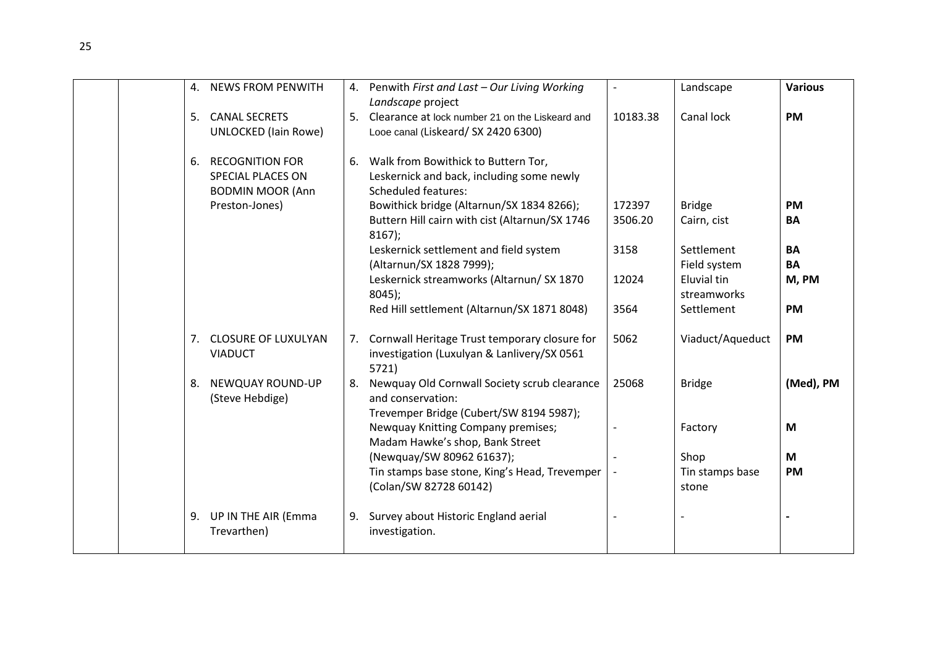| 4. | <b>NEWS FROM PENWITH</b>                                               |    | 4. Penwith First and Last - Our Living Working<br>Landscape project                                            | $\overline{\phantom{a}}$ | Landscape                  | <b>Various</b> |
|----|------------------------------------------------------------------------|----|----------------------------------------------------------------------------------------------------------------|--------------------------|----------------------------|----------------|
| 5. | <b>CANAL SECRETS</b><br><b>UNLOCKED</b> (lain Rowe)                    | 5. | Clearance at lock number 21 on the Liskeard and<br>Looe canal (Liskeard/ SX 2420 6300)                         | 10183.38                 | Canal lock                 | <b>PM</b>      |
| 6. | <b>RECOGNITION FOR</b><br>SPECIAL PLACES ON<br><b>BODMIN MOOR (Ann</b> | 6. | Walk from Bowithick to Buttern Tor,<br>Leskernick and back, including some newly<br><b>Scheduled features:</b> |                          |                            |                |
|    | Preston-Jones)                                                         |    | Bowithick bridge (Altarnun/SX 1834 8266);                                                                      | 172397                   | <b>Bridge</b>              | <b>PM</b>      |
|    |                                                                        |    | Buttern Hill cairn with cist (Altarnun/SX 1746<br>$8167$ );                                                    | 3506.20                  | Cairn, cist                | BA             |
|    |                                                                        |    | Leskernick settlement and field system                                                                         | 3158                     | Settlement                 | <b>BA</b>      |
|    |                                                                        |    | (Altarnun/SX 1828 7999);                                                                                       |                          | Field system               | BA             |
|    |                                                                        |    | Leskernick streamworks (Altarnun/ SX 1870<br>$8045$ :                                                          | 12024                    | Eluvial tin<br>streamworks | M, PM          |
|    |                                                                        |    | Red Hill settlement (Altarnun/SX 1871 8048)                                                                    | 3564                     | Settlement                 | <b>PM</b>      |
| 7. | <b>CLOSURE OF LUXULYAN</b><br><b>VIADUCT</b>                           |    | 7. Cornwall Heritage Trust temporary closure for<br>investigation (Luxulyan & Lanlivery/SX 0561<br>5721)       | 5062                     | Viaduct/Aqueduct           | <b>PM</b>      |
| 8. | NEWQUAY ROUND-UP<br>(Steve Hebdige)                                    |    | Newquay Old Cornwall Society scrub clearance<br>and conservation:                                              | 25068                    | <b>Bridge</b>              | (Med), PM      |
|    |                                                                        |    | Trevemper Bridge (Cubert/SW 8194 5987);                                                                        |                          |                            |                |
|    |                                                                        |    | Newquay Knitting Company premises;<br>Madam Hawke's shop, Bank Street                                          |                          | Factory                    | M              |
|    |                                                                        |    | (Newquay/SW 80962 61637);                                                                                      |                          | Shop                       | M              |
|    |                                                                        |    | Tin stamps base stone, King's Head, Trevemper<br>(Colan/SW 82728 60142)                                        |                          | Tin stamps base<br>stone   | <b>PM</b>      |
| 9. | UP IN THE AIR (Emma<br>Trevarthen)                                     | 9. | Survey about Historic England aerial<br>investigation.                                                         |                          |                            |                |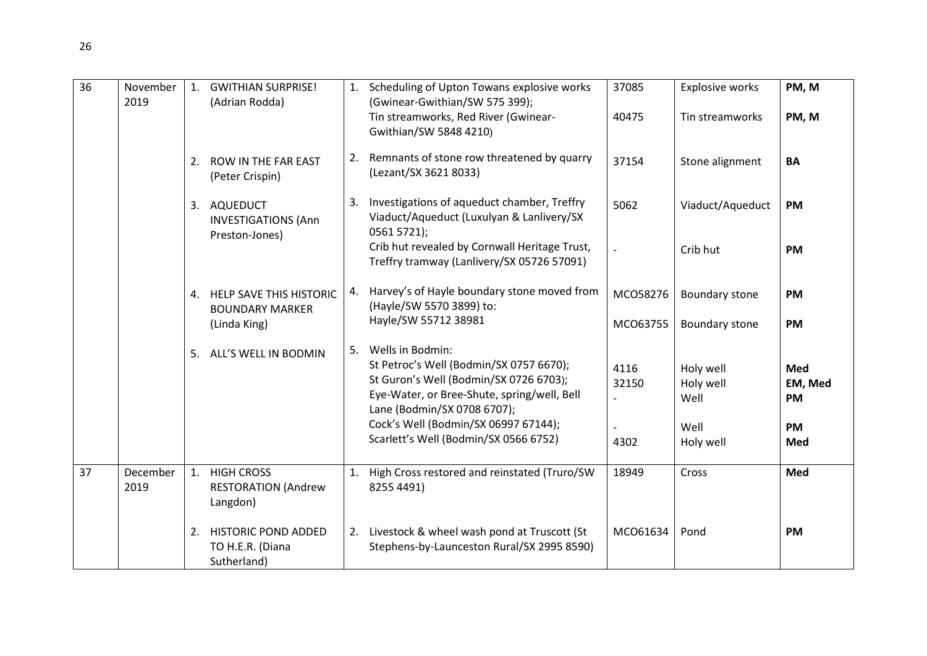| 36 | November<br>2019 | 1. | <b>GWITHIAN SURPRISE!</b><br>(Adrian Rodda)                   |    | 1. Scheduling of Upton Towans explosive works<br>(Gwinear-Gwithian/SW 575 399);<br>Tin streamworks, Red River (Gwinear-<br>Gwithian/SW 5848 4210)                                                                                                                    | 37085<br>40475        | Explosive works<br>Tin streamworks                  | PM, M<br>PM, M                                         |
|----|------------------|----|---------------------------------------------------------------|----|----------------------------------------------------------------------------------------------------------------------------------------------------------------------------------------------------------------------------------------------------------------------|-----------------------|-----------------------------------------------------|--------------------------------------------------------|
|    |                  | 2. | ROW IN THE FAR EAST<br>(Peter Crispin)                        |    | 2. Remnants of stone row threatened by quarry<br>(Lezant/SX 3621 8033)                                                                                                                                                                                               | 37154                 | Stone alignment                                     | <b>BA</b>                                              |
|    |                  | 3. | AQUEDUCT<br><b>INVESTIGATIONS (Ann</b><br>Preston-Jones)      | 3. | Investigations of aqueduct chamber, Treffry<br>Viaduct/Aqueduct (Luxulyan & Lanlivery/SX<br>0561 5721);                                                                                                                                                              | 5062                  | Viaduct/Aqueduct                                    | <b>PM</b>                                              |
|    |                  |    |                                                               |    | Crib hut revealed by Cornwall Heritage Trust,<br>Treffry tramway (Lanlivery/SX 05726 57091)                                                                                                                                                                          |                       | Crib hut                                            | <b>PM</b>                                              |
|    |                  |    | 4. HELP SAVE THIS HISTORIC<br><b>BOUNDARY MARKER</b>          |    | 4. Harvey's of Hayle boundary stone moved from<br>(Hayle/SW 5570 3899) to:<br>Hayle/SW 55712 38981                                                                                                                                                                   | MCO58276              | Boundary stone                                      | <b>PM</b>                                              |
|    |                  |    | (Linda King)                                                  |    |                                                                                                                                                                                                                                                                      | MCO63755              | Boundary stone                                      | <b>PM</b>                                              |
|    |                  | 5. | ALL'S WELL IN BODMIN                                          | 5. | Wells in Bodmin:<br>St Petroc's Well (Bodmin/SX 0757 6670);<br>St Guron's Well (Bodmin/SX 0726 6703);<br>Eye-Water, or Bree-Shute, spring/well, Bell<br>Lane (Bodmin/SX 0708 6707);<br>Cock's Well (Bodmin/SX 06997 67144);<br>Scarlett's Well (Bodmin/SX 0566 6752) | 4116<br>32150<br>4302 | Holy well<br>Holy well<br>Well<br>Well<br>Holy well | <b>Med</b><br>EM, Med<br><b>PM</b><br><b>PM</b><br>Med |
| 37 | December<br>2019 | 1. | <b>HIGH CROSS</b><br><b>RESTORATION (Andrew</b><br>Langdon)   | 1. | High Cross restored and reinstated (Truro/SW<br>8255 4491)                                                                                                                                                                                                           | 18949                 | Cross                                               | Med                                                    |
|    |                  | 2. | <b>HISTORIC POND ADDED</b><br>TO H.E.R. (Diana<br>Sutherland) |    | 2. Livestock & wheel wash pond at Truscott (St<br>Stephens-by-Launceston Rural/SX 2995 8590)                                                                                                                                                                         | MCO61634              | Pond                                                | <b>PM</b>                                              |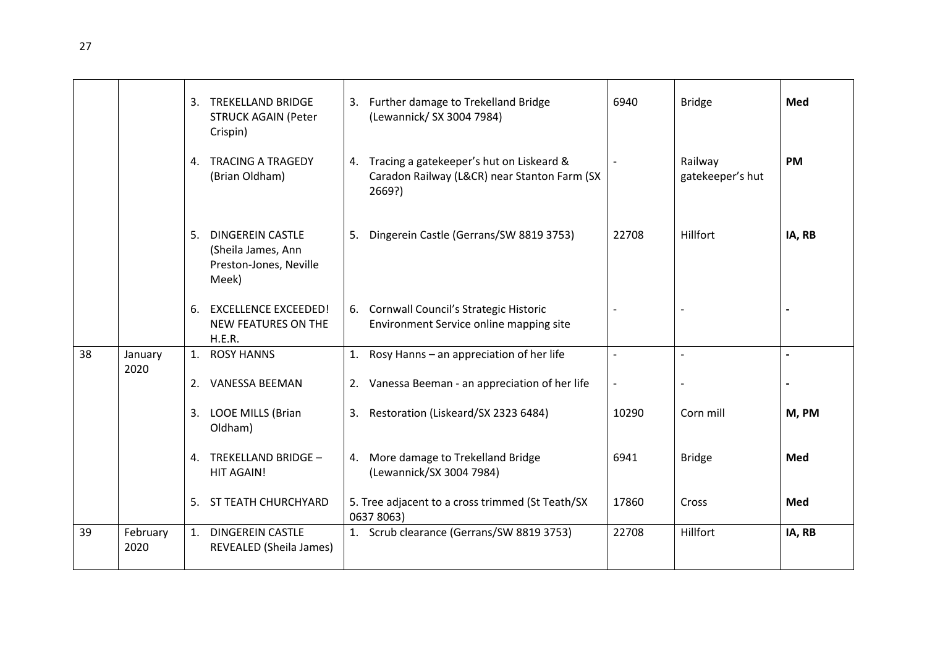|    |                  | 3. TREKELLAND BRIDGE<br><b>STRUCK AGAIN (Peter</b><br>Crispin)               | 3. Further damage to Trekelland Bridge<br>(Lewannick/ SX 3004 7984)                                   | 6940                     | <b>Bridge</b>               | Med        |
|----|------------------|------------------------------------------------------------------------------|-------------------------------------------------------------------------------------------------------|--------------------------|-----------------------------|------------|
|    |                  | 4. TRACING A TRAGEDY<br>(Brian Oldham)                                       | 4. Tracing a gatekeeper's hut on Liskeard &<br>Caradon Railway (L&CR) near Stanton Farm (SX<br>2669?) |                          | Railway<br>gatekeeper's hut | <b>PM</b>  |
|    |                  | 5. DINGEREIN CASTLE<br>(Sheila James, Ann<br>Preston-Jones, Neville<br>Meek) | 5. Dingerein Castle (Gerrans/SW 8819 3753)                                                            | 22708                    | Hillfort                    | IA, RB     |
|    |                  | 6. EXCELLENCE EXCEEDED!<br>NEW FEATURES ON THE<br>H.E.R.                     | 6. Cornwall Council's Strategic Historic<br>Environment Service online mapping site                   |                          |                             |            |
| 38 | January<br>2020  | 1. ROSY HANNS                                                                | 1. Rosy Hanns - an appreciation of her life                                                           |                          |                             |            |
|    |                  | 2. VANESSA BEEMAN                                                            | 2. Vanessa Beeman - an appreciation of her life                                                       | $\overline{\phantom{a}}$ |                             |            |
|    |                  | 3. LOOE MILLS (Brian<br>Oldham)                                              | 3. Restoration (Liskeard/SX 2323 6484)                                                                | 10290                    | Corn mill                   | M, PM      |
|    |                  | 4. TREKELLAND BRIDGE -<br><b>HIT AGAIN!</b>                                  | 4. More damage to Trekelland Bridge<br>(Lewannick/SX 3004 7984)                                       | 6941                     | <b>Bridge</b>               | <b>Med</b> |
|    |                  | 5. ST TEATH CHURCHYARD                                                       | 5. Tree adjacent to a cross trimmed (St Teath/SX<br>0637 8063)                                        | 17860                    | Cross                       | Med        |
| 39 | February<br>2020 | 1. DINGEREIN CASTLE<br>REVEALED (Sheila James)                               | 1. Scrub clearance (Gerrans/SW 8819 3753)                                                             | 22708                    | Hillfort                    | IA, RB     |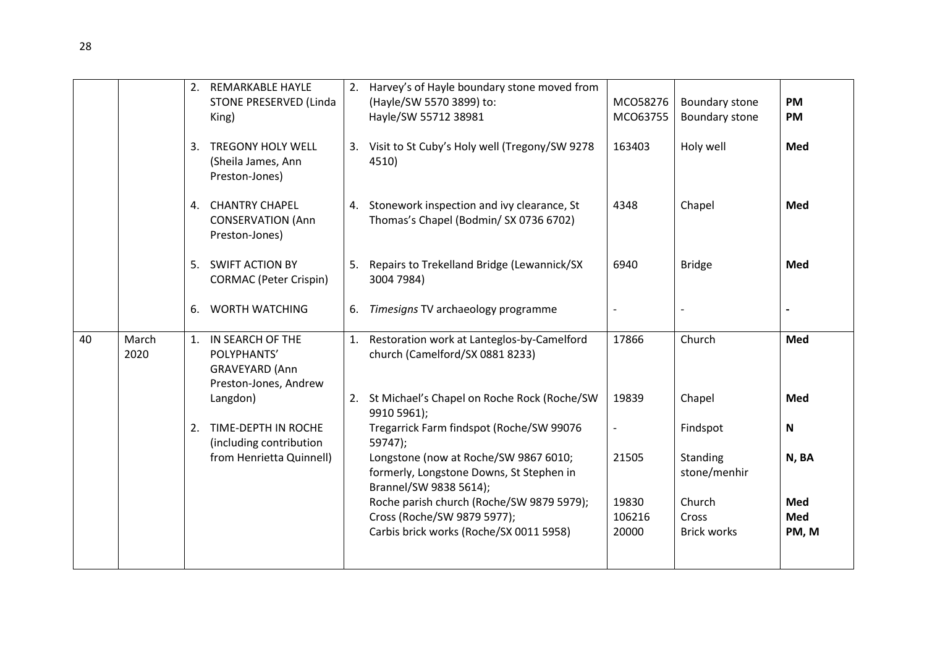|    |               |    | 2. REMARKABLE HAYLE<br>STONE PRESERVED (Linda<br>King)<br>3. TREGONY HOLY WELL<br>(Sheila James, Ann<br>Preston-Jones) |    | 2. Harvey's of Hayle boundary stone moved from<br>(Hayle/SW 5570 3899) to:<br>Hayle/SW 55712 38981<br>3. Visit to St Cuby's Holy well (Tregony/SW 9278<br>4510) | MCO58276<br>MCO63755<br>163403 | Boundary stone<br>Boundary stone<br>Holy well | <b>PM</b><br><b>PM</b><br>Med |
|----|---------------|----|------------------------------------------------------------------------------------------------------------------------|----|-----------------------------------------------------------------------------------------------------------------------------------------------------------------|--------------------------------|-----------------------------------------------|-------------------------------|
|    |               |    | 4. CHANTRY CHAPEL<br><b>CONSERVATION (Ann</b><br>Preston-Jones)                                                        |    | 4. Stonework inspection and ivy clearance, St<br>Thomas's Chapel (Bodmin/SX 0736 6702)                                                                          | 4348                           | Chapel                                        | Med                           |
|    |               |    | 5. SWIFT ACTION BY<br><b>CORMAC</b> (Peter Crispin)                                                                    |    | 5. Repairs to Trekelland Bridge (Lewannick/SX<br>3004 7984)                                                                                                     | 6940                           | <b>Bridge</b>                                 | Med                           |
|    |               | 6. | <b>WORTH WATCHING</b>                                                                                                  | 6. | Timesigns TV archaeology programme                                                                                                                              |                                |                                               |                               |
| 40 | March<br>2020 |    | 1. IN SEARCH OF THE<br>POLYPHANTS'<br>GRAVEYARD (Ann<br>Preston-Jones, Andrew                                          |    | 1. Restoration work at Lanteglos-by-Camelford<br>church (Camelford/SX 0881 8233)                                                                                | 17866                          | Church                                        | Med                           |
|    |               |    | Langdon)                                                                                                               |    | 2. St Michael's Chapel on Roche Rock (Roche/SW<br>9910 5961);                                                                                                   | 19839                          | Chapel                                        | Med                           |
|    |               |    | 2. TIME-DEPTH IN ROCHE<br>(including contribution                                                                      |    | Tregarrick Farm findspot (Roche/SW 99076<br>59747);                                                                                                             | $\overline{\phantom{a}}$       | Findspot                                      | $\mathbf N$                   |
|    |               |    | from Henrietta Quinnell)                                                                                               |    | Longstone (now at Roche/SW 9867 6010;<br>formerly, Longstone Downs, St Stephen in<br>Brannel/SW 9838 5614);                                                     | 21505                          | Standing<br>stone/menhir                      | N, BA                         |
|    |               |    |                                                                                                                        |    | Roche parish church (Roche/SW 9879 5979);<br>Cross (Roche/SW 9879 5977);                                                                                        | 19830<br>106216                | Church<br>Cross                               | Med<br><b>Med</b>             |
|    |               |    |                                                                                                                        |    | Carbis brick works (Roche/SX 0011 5958)                                                                                                                         | 20000                          | <b>Brick works</b>                            | PM, M                         |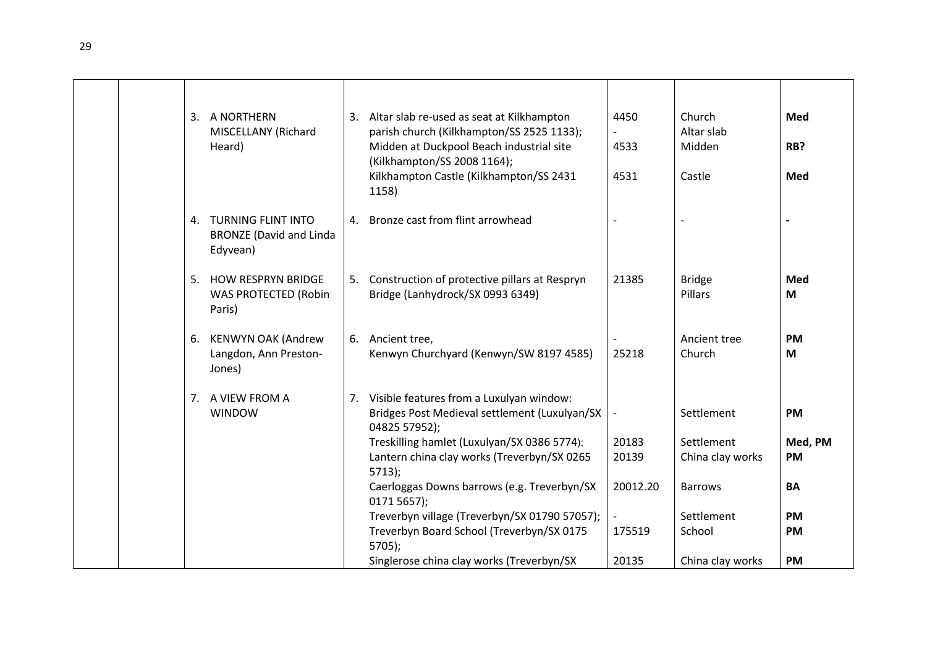|  |    | 3. A NORTHERN<br>MISCELLANY (Richard<br>Heard)                      |    | 3. Altar slab re-used as seat at Kilkhampton<br>parish church (Kilkhampton/SS 2525 1133);<br>Midden at Duckpool Beach industrial site<br>(Kilkhampton/SS 2008 1164);<br>Kilkhampton Castle (Kilkhampton/SS 2431<br>1158)                                                                                                               | 4450<br>4533<br>4531                                   | Church<br>Altar slab<br>Midden<br>Castle                                     | Med<br>RB?<br>Med                                    |
|--|----|---------------------------------------------------------------------|----|----------------------------------------------------------------------------------------------------------------------------------------------------------------------------------------------------------------------------------------------------------------------------------------------------------------------------------------|--------------------------------------------------------|------------------------------------------------------------------------------|------------------------------------------------------|
|  |    | 4. TURNING FLINT INTO<br><b>BRONZE</b> (David and Linda<br>Edyvean) | 4. | Bronze cast from flint arrowhead                                                                                                                                                                                                                                                                                                       |                                                        |                                                                              |                                                      |
|  | 5. | <b>HOW RESPRYN BRIDGE</b><br><b>WAS PROTECTED (Robin</b><br>Paris)  |    | 5. Construction of protective pillars at Respryn<br>Bridge (Lanhydrock/SX 0993 6349)                                                                                                                                                                                                                                                   | 21385                                                  | <b>Bridge</b><br>Pillars                                                     | Med<br>M                                             |
|  |    | 6. KENWYN OAK (Andrew<br>Langdon, Ann Preston-<br>Jones)            |    | 6. Ancient tree,<br>Kenwyn Churchyard (Kenwyn/SW 8197 4585)                                                                                                                                                                                                                                                                            | 25218                                                  | Ancient tree<br>Church                                                       | <b>PM</b><br>M                                       |
|  |    | 7. A VIEW FROM A<br><b>WINDOW</b>                                   |    | 7. Visible features from a Luxulyan window:<br>Bridges Post Medieval settlement (Luxulyan/SX<br>04825 57952);<br>Treskilling hamlet (Luxulyan/SX 0386 5774);<br>Lantern china clay works (Treverbyn/SX 0265<br>$5713$ :<br>Caerloggas Downs barrows (e.g. Treverbyn/SX<br>0171 5657);<br>Treverbyn village (Treverbyn/SX 01790 57057); | $\overline{\phantom{a}}$<br>20183<br>20139<br>20012.20 | Settlement<br>Settlement<br>China clay works<br><b>Barrows</b><br>Settlement | <b>PM</b><br>Med, PM<br>PM<br><b>BA</b><br><b>PM</b> |
|  |    |                                                                     |    | Treverbyn Board School (Treverbyn/SX 0175<br>$5705$ );<br>Singlerose china clay works (Treverbyn/SX                                                                                                                                                                                                                                    | 175519<br>20135                                        | School<br>China clay works                                                   | <b>PM</b><br><b>PM</b>                               |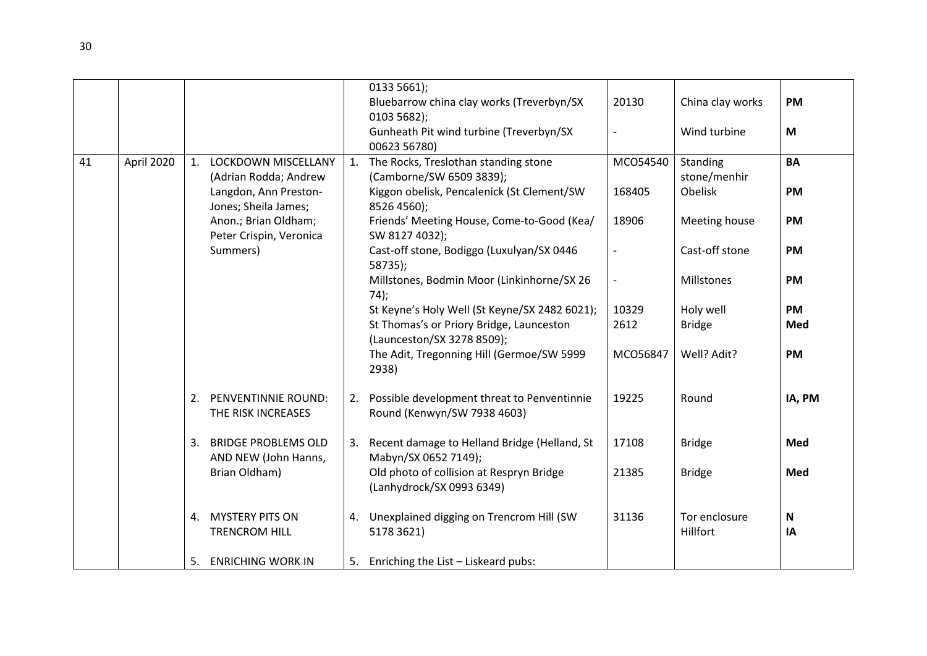|    |            |    |                                                                                                  |    | 0133 5661);<br>Bluebarrow china clay works (Treverbyn/SX<br>0103 5682);<br>Gunheath Pit wind turbine (Treverbyn/SX<br>00623 56780)              | 20130              | China clay works<br>Wind turbine         | <b>PM</b><br>M                |
|----|------------|----|--------------------------------------------------------------------------------------------------|----|-------------------------------------------------------------------------------------------------------------------------------------------------|--------------------|------------------------------------------|-------------------------------|
| 41 | April 2020 |    | 1. LOCKDOWN MISCELLANY<br>(Adrian Rodda; Andrew<br>Langdon, Ann Preston-<br>Jones; Sheila James; |    | 1. The Rocks, Treslothan standing stone<br>(Camborne/SW 6509 3839);<br>Kiggon obelisk, Pencalenick (St Clement/SW<br>8526 4560);                | MCO54540<br>168405 | Standing<br>stone/menhir<br>Obelisk      | <b>BA</b><br><b>PM</b>        |
|    |            |    | Anon.; Brian Oldham;<br>Peter Crispin, Veronica<br>Summers)                                      |    | Friends' Meeting House, Come-to-Good (Kea/<br>SW 8127 4032);<br>Cast-off stone, Bodiggo (Luxulyan/SX 0446<br>58735);                            | 18906              | Meeting house<br>Cast-off stone          | <b>PM</b><br><b>PM</b>        |
|    |            |    |                                                                                                  |    | Millstones, Bodmin Moor (Linkinhorne/SX 26<br>74);<br>St Keyne's Holy Well (St Keyne/SX 2482 6021);<br>St Thomas's or Priory Bridge, Launceston | 10329<br>2612      | Millstones<br>Holy well<br><b>Bridge</b> | <b>PM</b><br><b>PM</b><br>Med |
|    |            |    |                                                                                                  |    | (Launceston/SX 3278 8509);<br>The Adit, Tregonning Hill (Germoe/SW 5999<br>2938)                                                                | MCO56847           | Well? Adit?                              | <b>PM</b>                     |
|    |            |    | 2. PENVENTINNIE ROUND:<br>THE RISK INCREASES                                                     |    | 2. Possible development threat to Penventinnie<br>Round (Kenwyn/SW 7938 4603)                                                                   | 19225              | Round                                    | IA, PM                        |
|    |            | 3. | <b>BRIDGE PROBLEMS OLD</b><br>AND NEW (John Hanns,<br>Brian Oldham)                              | 3. | Recent damage to Helland Bridge (Helland, St<br>Mabyn/SX 0652 7149);<br>Old photo of collision at Respryn Bridge<br>(Lanhydrock/SX 0993 6349)   | 17108<br>21385     | <b>Bridge</b><br><b>Bridge</b>           | Med<br>Med                    |
|    |            | 4. | <b>MYSTERY PITS ON</b><br><b>TRENCROM HILL</b>                                                   | 4. | Unexplained digging on Trencrom Hill (SW<br>5178 3621)                                                                                          | 31136              | Tor enclosure<br>Hillfort                | N<br>IA                       |
|    |            | 5. | <b>ENRICHING WORK IN</b>                                                                         |    | 5. Enriching the List - Liskeard pubs:                                                                                                          |                    |                                          |                               |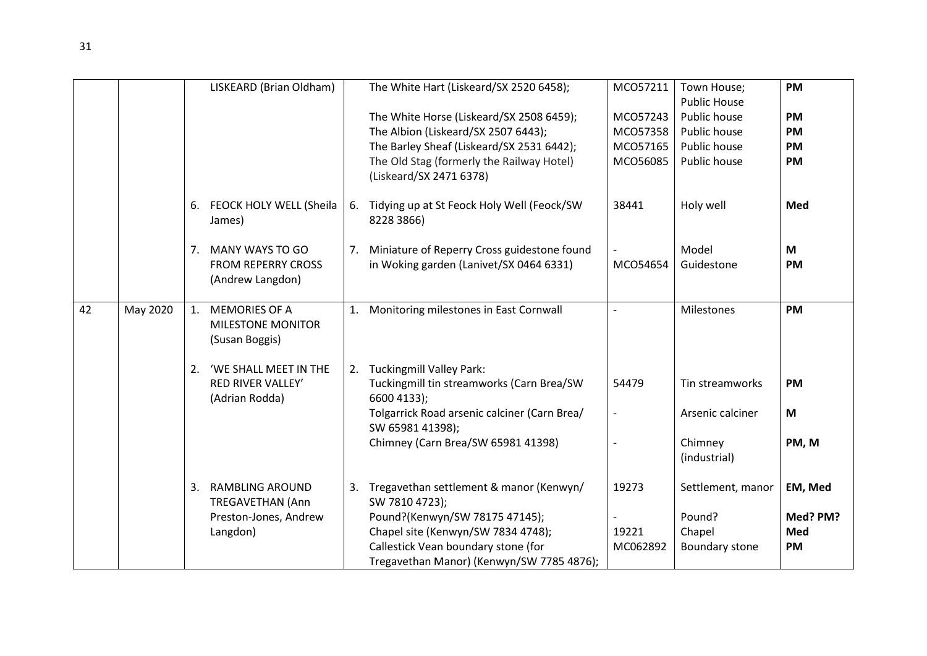|    |          |    | LISKEARD (Brian Oldham)                                        |    | The White Hart (Liskeard/SX 2520 6458);                              | MCO57211 | Town House;             | PM        |
|----|----------|----|----------------------------------------------------------------|----|----------------------------------------------------------------------|----------|-------------------------|-----------|
|    |          |    |                                                                |    |                                                                      |          | <b>Public House</b>     |           |
|    |          |    |                                                                |    | The White Horse (Liskeard/SX 2508 6459);                             | MCO57243 | Public house            | <b>PM</b> |
|    |          |    |                                                                |    | The Albion (Liskeard/SX 2507 6443);                                  | MCO57358 | Public house            | PM        |
|    |          |    |                                                                |    | The Barley Sheaf (Liskeard/SX 2531 6442);                            | MCO57165 | Public house            | PM        |
|    |          |    |                                                                |    | The Old Stag (formerly the Railway Hotel)<br>(Liskeard/SX 2471 6378) | MCO56085 | Public house            | <b>PM</b> |
|    |          | 6. | FEOCK HOLY WELL (Sheila<br>James)                              | 6. | Tidying up at St Feock Holy Well (Feock/SW<br>8228 3866)             | 38441    | Holy well               | Med       |
|    |          | 7. | <b>MANY WAYS TO GO</b>                                         |    | 7. Miniature of Reperry Cross guidestone found                       |          | Model                   | M         |
|    |          |    | <b>FROM REPERRY CROSS</b>                                      |    | in Woking garden (Lanivet/SX 0464 6331)                              | MCO54654 | Guidestone              | <b>PM</b> |
|    |          |    | (Andrew Langdon)                                               |    |                                                                      |          |                         |           |
| 42 | May 2020 |    | 1. MEMORIES OF A<br><b>MILESTONE MONITOR</b><br>(Susan Boggis) |    | 1. Monitoring milestones in East Cornwall                            |          | Milestones              | PM        |
|    |          | 2. | 'WE SHALL MEET IN THE                                          |    | 2. Tuckingmill Valley Park:                                          |          |                         |           |
|    |          |    | <b>RED RIVER VALLEY'</b><br>(Adrian Rodda)                     |    | Tuckingmill tin streamworks (Carn Brea/SW<br>6600 4133);             | 54479    | Tin streamworks         | <b>PM</b> |
|    |          |    |                                                                |    | Tolgarrick Road arsenic calciner (Carn Brea/<br>SW 65981 41398);     |          | Arsenic calciner        | M         |
|    |          |    |                                                                |    | Chimney (Carn Brea/SW 65981 41398)                                   |          | Chimney<br>(industrial) | PM, M     |
|    |          | 3. | <b>RAMBLING AROUND</b><br><b>TREGAVETHAN (Ann</b>              | 3. | Tregavethan settlement & manor (Kenwyn/<br>SW 7810 4723);            | 19273    | Settlement, manor       | EM, Med   |
|    |          |    | Preston-Jones, Andrew                                          |    | Pound?(Kenwyn/SW 78175 47145);                                       |          | Pound?                  | Med? PM?  |
|    |          |    | Langdon)                                                       |    | Chapel site (Kenwyn/SW 7834 4748);                                   | 19221    | Chapel                  | Med       |
|    |          |    |                                                                |    | Callestick Vean boundary stone (for                                  | MC062892 | Boundary stone          | PM        |
|    |          |    |                                                                |    | Tregavethan Manor) (Kenwyn/SW 7785 4876);                            |          |                         |           |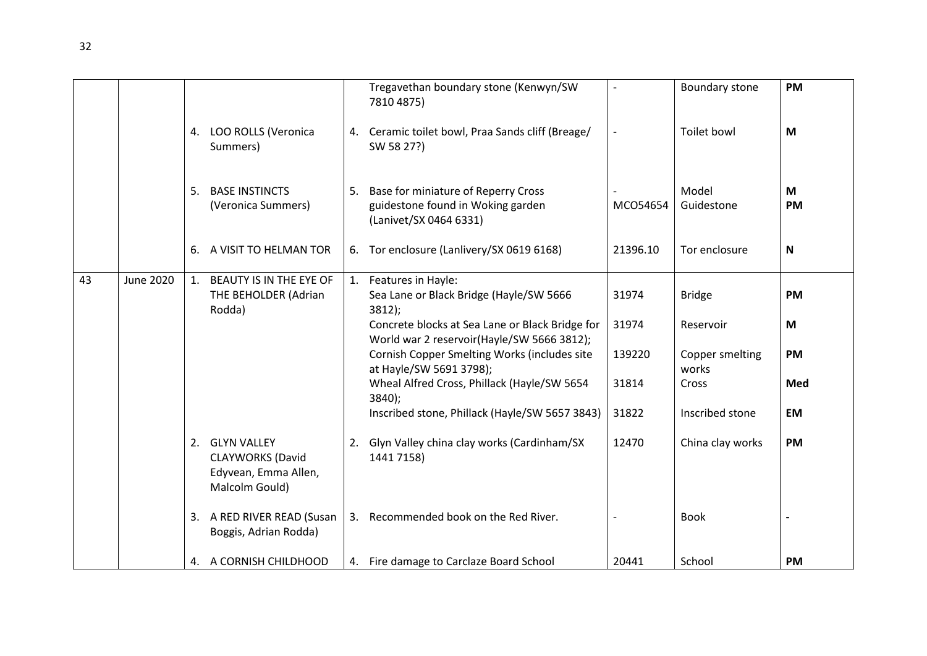|    |                  |    |                                                                                     |    | Tregavethan boundary stone (Kenwyn/SW<br>7810 4875)                                                                                                                                                                                                                                                                                                                  |                                            | Boundary stone                                                                     | <b>PM</b>                                       |
|----|------------------|----|-------------------------------------------------------------------------------------|----|----------------------------------------------------------------------------------------------------------------------------------------------------------------------------------------------------------------------------------------------------------------------------------------------------------------------------------------------------------------------|--------------------------------------------|------------------------------------------------------------------------------------|-------------------------------------------------|
|    |                  |    | 4. LOO ROLLS (Veronica<br>Summers)                                                  |    | 4. Ceramic toilet bowl, Praa Sands cliff (Breage/<br>SW 58 27?)                                                                                                                                                                                                                                                                                                      |                                            | Toilet bowl                                                                        | M                                               |
|    |                  | 5. | <b>BASE INSTINCTS</b><br>(Veronica Summers)                                         | 5. | Base for miniature of Reperry Cross<br>guidestone found in Woking garden<br>(Lanivet/SX 0464 6331)                                                                                                                                                                                                                                                                   | MCO54654                                   | Model<br>Guidestone                                                                | M<br><b>PM</b>                                  |
|    |                  | 6. | A VISIT TO HELMAN TOR                                                               |    | 6. Tor enclosure (Lanlivery/SX 0619 6168)                                                                                                                                                                                                                                                                                                                            | 21396.10                                   | Tor enclosure                                                                      | $\mathbf N$                                     |
| 43 | <b>June 2020</b> | 1. | BEAUTY IS IN THE EYE OF<br>THE BEHOLDER (Adrian<br>Rodda)                           |    | 1. Features in Hayle:<br>Sea Lane or Black Bridge (Hayle/SW 5666<br>$3812$ );<br>Concrete blocks at Sea Lane or Black Bridge for<br>World war 2 reservoir(Hayle/SW 5666 3812);<br>Cornish Copper Smelting Works (includes site<br>at Hayle/SW 5691 3798);<br>Wheal Alfred Cross, Phillack (Hayle/SW 5654<br>3840);<br>Inscribed stone, Phillack (Hayle/SW 5657 3843) | 31974<br>31974<br>139220<br>31814<br>31822 | <b>Bridge</b><br>Reservoir<br>Copper smelting<br>works<br>Cross<br>Inscribed stone | <b>PM</b><br>M<br><b>PM</b><br>Med<br><b>EM</b> |
|    |                  |    | 2. GLYN VALLEY<br><b>CLAYWORKS (David</b><br>Edyvean, Emma Allen,<br>Malcolm Gould) |    | 2. Glyn Valley china clay works (Cardinham/SX<br>1441 7158)                                                                                                                                                                                                                                                                                                          | 12470                                      | China clay works                                                                   | <b>PM</b>                                       |
|    |                  |    | 3. A RED RIVER READ (Susan<br>Boggis, Adrian Rodda)                                 |    | 3. Recommended book on the Red River.                                                                                                                                                                                                                                                                                                                                |                                            | <b>Book</b>                                                                        |                                                 |
|    |                  |    | 4. A CORNISH CHILDHOOD                                                              |    | 4. Fire damage to Carclaze Board School                                                                                                                                                                                                                                                                                                                              | 20441                                      | School                                                                             | <b>PM</b>                                       |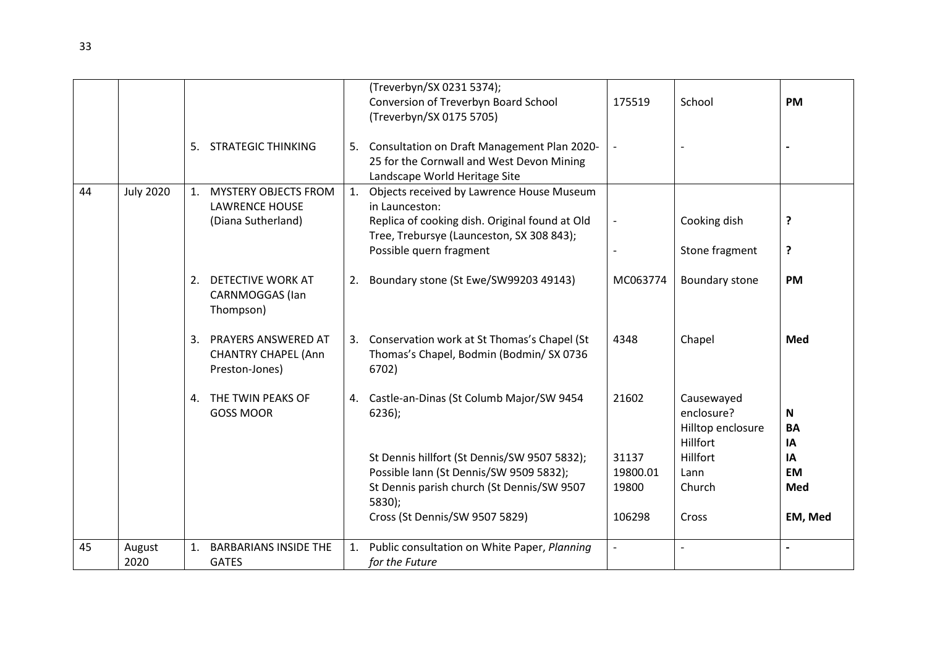|    |                  |                |                                                                     |    | (Treverbyn/SX 0231 5374);                                                                                                    |                          |                                                           |                         |
|----|------------------|----------------|---------------------------------------------------------------------|----|------------------------------------------------------------------------------------------------------------------------------|--------------------------|-----------------------------------------------------------|-------------------------|
|    |                  |                |                                                                     |    | Conversion of Treverbyn Board School<br>(Treverbyn/SX 0175 5705)                                                             | 175519                   | School                                                    | <b>PM</b>               |
|    |                  | 5.             | <b>STRATEGIC THINKING</b>                                           |    | 5. Consultation on Draft Management Plan 2020-<br>25 for the Cornwall and West Devon Mining<br>Landscape World Heritage Site |                          |                                                           |                         |
| 44 | <b>July 2020</b> | $\mathbf{1}$ . | <b>MYSTERY OBJECTS FROM</b><br><b>LAWRENCE HOUSE</b>                |    | 1. Objects received by Lawrence House Museum<br>in Launceston:                                                               |                          |                                                           |                         |
|    |                  |                | (Diana Sutherland)                                                  |    | Replica of cooking dish. Original found at Old<br>Tree, Trebursye (Launceston, SX 308 843);                                  |                          | Cooking dish                                              | ?                       |
|    |                  |                |                                                                     |    | Possible quern fragment                                                                                                      |                          | Stone fragment                                            | ?                       |
|    |                  | 2.             | DETECTIVE WORK AT<br><b>CARNMOGGAS</b> (lan<br>Thompson)            | 2. | Boundary stone (St Ewe/SW99203 49143)                                                                                        | MC063774                 | Boundary stone                                            | <b>PM</b>               |
|    |                  | 3.             | PRAYERS ANSWERED AT<br><b>CHANTRY CHAPEL (Ann</b><br>Preston-Jones) |    | 3. Conservation work at St Thomas's Chapel (St<br>Thomas's Chapel, Bodmin (Bodmin/ SX 0736<br>6702)                          | 4348                     | Chapel                                                    | Med                     |
|    |                  | 4.             | THE TWIN PEAKS OF<br><b>GOSS MOOR</b>                               |    | 4. Castle-an-Dinas (St Columb Major/SW 9454<br>$6236$ );                                                                     | 21602                    | Causewayed<br>enclosure?<br>Hilltop enclosure<br>Hillfort | N<br><b>BA</b><br>IA    |
|    |                  |                |                                                                     |    | St Dennis hillfort (St Dennis/SW 9507 5832);                                                                                 | 31137                    | Hillfort                                                  | IA                      |
|    |                  |                |                                                                     |    | Possible lann (St Dennis/SW 9509 5832);<br>St Dennis parish church (St Dennis/SW 9507                                        | 19800.01<br>19800        | Lann<br>Church                                            | <b>EM</b><br><b>Med</b> |
|    |                  |                |                                                                     |    | 5830);                                                                                                                       |                          |                                                           |                         |
|    |                  |                |                                                                     |    | Cross (St Dennis/SW 9507 5829)                                                                                               | 106298                   | Cross                                                     | EM, Med                 |
| 45 | August           |                | <b>BARBARIANS INSIDE THE</b>                                        | 1. | Public consultation on White Paper, Planning                                                                                 | $\overline{\phantom{a}}$ | $\overline{\phantom{a}}$                                  |                         |
|    | 2020             |                | <b>GATES</b>                                                        |    | for the Future                                                                                                               |                          |                                                           |                         |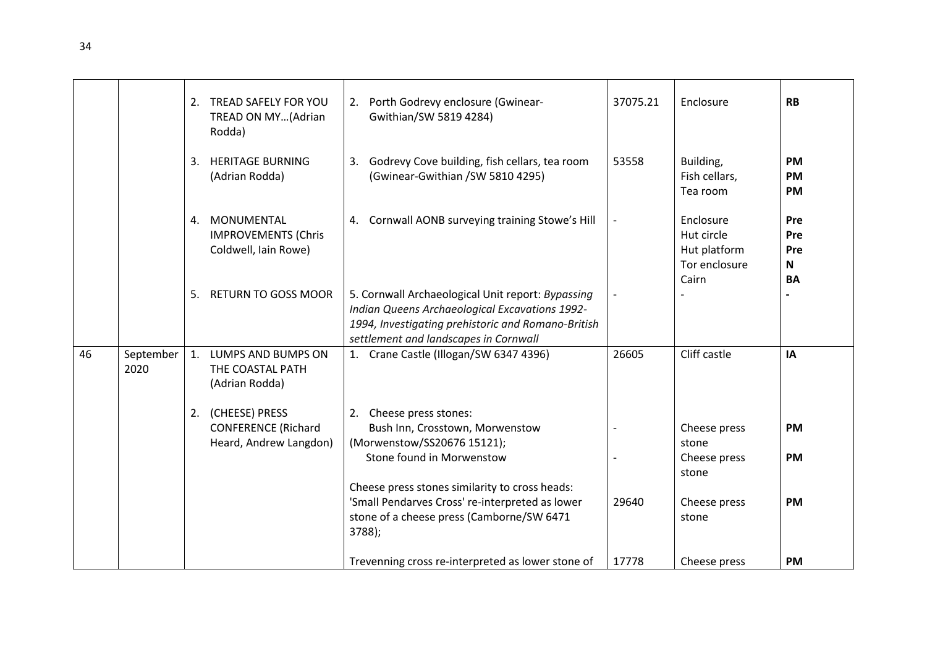|    |                   |    | 2. TREAD SAFELY FOR YOU<br>TREAD ON MY(Adrian<br>Rodda)                   | 2. Porth Godrevy enclosure (Gwinear-<br>Gwithian/SW 5819 4284)                                                                                                                                     | 37075.21 | Enclosure                                                         | <b>RB</b>                                      |
|----|-------------------|----|---------------------------------------------------------------------------|----------------------------------------------------------------------------------------------------------------------------------------------------------------------------------------------------|----------|-------------------------------------------------------------------|------------------------------------------------|
|    |                   | 3. | <b>HERITAGE BURNING</b><br>(Adrian Rodda)                                 | 3. Godrevy Cove building, fish cellars, tea room<br>(Gwinear-Gwithian /SW 5810 4295)                                                                                                               | 53558    | Building,<br>Fish cellars,<br>Tea room                            | <b>PM</b><br><b>PM</b><br><b>PM</b>            |
|    |                   | 4. | MONUMENTAL<br><b>IMPROVEMENTS (Chris</b><br>Coldwell, Iain Rowe)          | 4. Cornwall AONB surveying training Stowe's Hill                                                                                                                                                   |          | Enclosure<br>Hut circle<br>Hut platform<br>Tor enclosure<br>Cairn | Pre<br>Pre<br>Pre<br>$\mathsf{N}$<br><b>BA</b> |
|    |                   | 5. | <b>RETURN TO GOSS MOOR</b>                                                | 5. Cornwall Archaeological Unit report: Bypassing<br>Indian Queens Archaeological Excavations 1992-<br>1994, Investigating prehistoric and Romano-British<br>settlement and landscapes in Cornwall |          |                                                                   |                                                |
| 46 | September<br>2020 |    | 1. LUMPS AND BUMPS ON<br>THE COASTAL PATH<br>(Adrian Rodda)               | 1. Crane Castle (Illogan/SW 6347 4396)                                                                                                                                                             | 26605    | Cliff castle                                                      | IA                                             |
|    |                   |    | 2. (CHEESE) PRESS<br><b>CONFERENCE (Richard</b><br>Heard, Andrew Langdon) | 2. Cheese press stones:<br>Bush Inn, Crosstown, Morwenstow<br>(Morwenstow/SS20676 15121);<br>Stone found in Morwenstow                                                                             |          | Cheese press<br>stone<br>Cheese press<br>stone                    | <b>PM</b><br><b>PM</b>                         |
|    |                   |    |                                                                           | Cheese press stones similarity to cross heads:<br>'Small Pendarves Cross' re-interpreted as lower<br>stone of a cheese press (Camborne/SW 6471<br>3788);                                           | 29640    | Cheese press<br>stone                                             | <b>PM</b>                                      |
|    |                   |    |                                                                           | Trevenning cross re-interpreted as lower stone of                                                                                                                                                  | 17778    | Cheese press                                                      | <b>PM</b>                                      |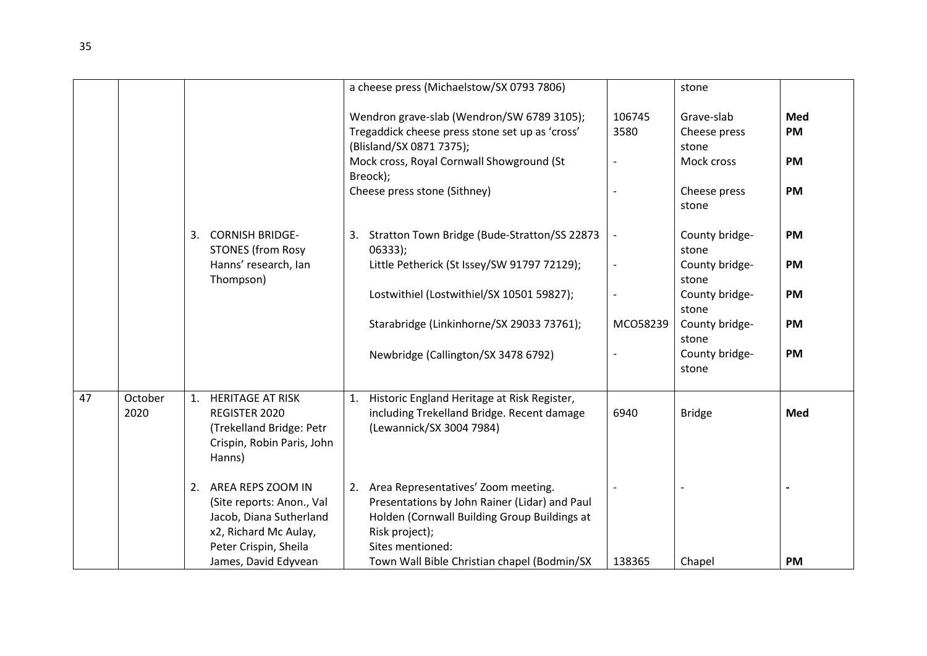|    |                 |                                                                                                                                | a cheese press (Michaelstow/SX 0793 7806)                                                                                                                                                                          |                | stone                                                             |                                            |
|----|-----------------|--------------------------------------------------------------------------------------------------------------------------------|--------------------------------------------------------------------------------------------------------------------------------------------------------------------------------------------------------------------|----------------|-------------------------------------------------------------------|--------------------------------------------|
|    |                 |                                                                                                                                | Wendron grave-slab (Wendron/SW 6789 3105);<br>Tregaddick cheese press stone set up as 'cross'<br>(Blisland/SX 0871 7375);<br>Mock cross, Royal Cornwall Showground (St<br>Breock);<br>Cheese press stone (Sithney) | 106745<br>3580 | Grave-slab<br>Cheese press<br>stone<br>Mock cross<br>Cheese press | Med<br><b>PM</b><br><b>PM</b><br><b>PM</b> |
|    |                 | <b>CORNISH BRIDGE-</b><br>3.<br><b>STONES (from Rosy</b>                                                                       | Stratton Town Bridge (Bude-Stratton/SS 22873<br>3.<br>$06333$ :                                                                                                                                                    |                | stone<br>County bridge-<br>stone                                  | <b>PM</b>                                  |
|    |                 | Hanns' research, Ian<br>Thompson)                                                                                              | Little Petherick (St Issey/SW 91797 72129);                                                                                                                                                                        |                | County bridge-<br>stone                                           | <b>PM</b>                                  |
|    |                 |                                                                                                                                | Lostwithiel (Lostwithiel/SX 10501 59827);                                                                                                                                                                          |                | County bridge-<br>stone                                           | <b>PM</b>                                  |
|    |                 |                                                                                                                                | Starabridge (Linkinhorne/SX 29033 73761);                                                                                                                                                                          | MCO58239       | County bridge-<br>stone                                           | <b>PM</b>                                  |
|    |                 |                                                                                                                                | Newbridge (Callington/SX 3478 6792)                                                                                                                                                                                |                | County bridge-<br>stone                                           | <b>PM</b>                                  |
| 47 | October<br>2020 | 1.<br><b>HERITAGE AT RISK</b><br>REGISTER 2020<br>(Trekelland Bridge: Petr<br>Crispin, Robin Paris, John<br>Hanns)             | 1. Historic England Heritage at Risk Register,<br>including Trekelland Bridge. Recent damage<br>(Lewannick/SX 3004 7984)                                                                                           | 6940           | <b>Bridge</b>                                                     | Med                                        |
|    |                 | 2. AREA REPS ZOOM IN<br>(Site reports: Anon., Val<br>Jacob, Diana Sutherland<br>x2, Richard Mc Aulay,<br>Peter Crispin, Sheila | 2. Area Representatives' Zoom meeting.<br>Presentations by John Rainer (Lidar) and Paul<br>Holden (Cornwall Building Group Buildings at<br>Risk project);<br>Sites mentioned:                                      |                |                                                                   |                                            |
|    |                 | James, David Edyvean                                                                                                           | Town Wall Bible Christian chapel (Bodmin/SX                                                                                                                                                                        | 138365         | Chapel                                                            | PM                                         |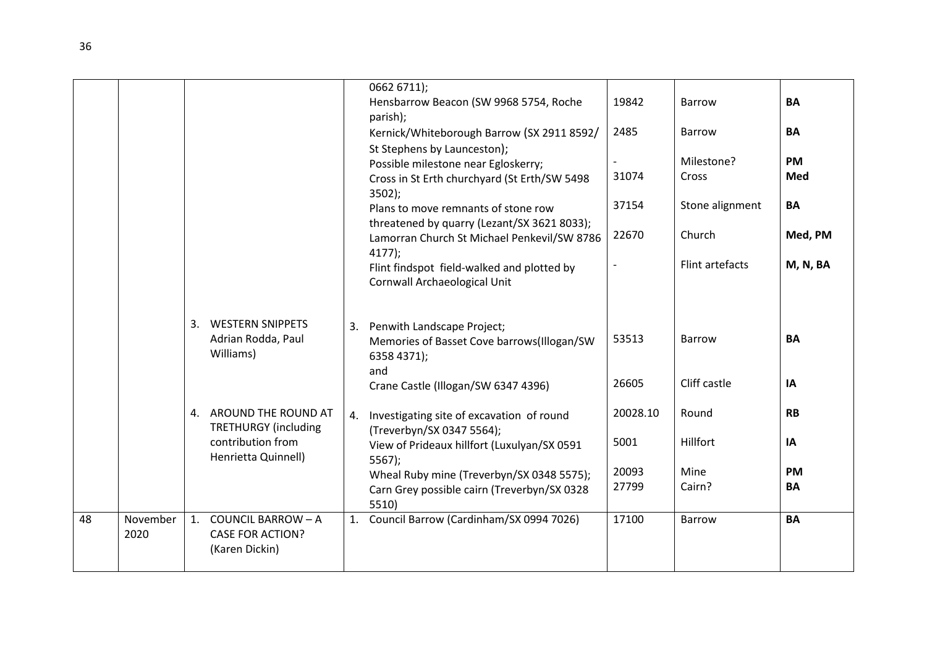|    |                  |    |                                                                                                   | 0662 6711);<br>Hensbarrow Beacon (SW 9968 5754, Roche<br>parish);<br>Kernick/Whiteborough Barrow (SX 2911 8592/<br>St Stephens by Launceston);<br>Possible milestone near Egloskerry;<br>Cross in St Erth churchyard (St Erth/SW 5498<br>$3502$ );<br>Plans to move remnants of stone row<br>threatened by quarry (Lezant/SX 3621 8033);<br>Lamorran Church St Michael Penkevil/SW 8786<br>$4177$ );<br>Flint findspot field-walked and plotted by<br>Cornwall Archaeological Unit | 19842<br>2485<br>31074<br>37154<br>22670 | <b>Barrow</b><br><b>Barrow</b><br>Milestone?<br>Cross<br>Stone alignment<br>Church<br>Flint artefacts | <b>BA</b><br>BA<br>PM<br>Med<br>BA<br>Med, PM<br>M, N, BA |
|----|------------------|----|---------------------------------------------------------------------------------------------------|------------------------------------------------------------------------------------------------------------------------------------------------------------------------------------------------------------------------------------------------------------------------------------------------------------------------------------------------------------------------------------------------------------------------------------------------------------------------------------|------------------------------------------|-------------------------------------------------------------------------------------------------------|-----------------------------------------------------------|
|    |                  | 3. | <b>WESTERN SNIPPETS</b><br>Adrian Rodda, Paul<br>Williams)                                        | 3. Penwith Landscape Project;<br>Memories of Basset Cove barrows(Illogan/SW<br>6358 4371);<br>and<br>Crane Castle (Illogan/SW 6347 4396)                                                                                                                                                                                                                                                                                                                                           | 53513<br>26605                           | <b>Barrow</b><br>Cliff castle                                                                         | BA<br>IA                                                  |
|    |                  |    | 4. AROUND THE ROUND AT<br><b>TRETHURGY</b> (including<br>contribution from<br>Henrietta Quinnell) | 4. Investigating site of excavation of round<br>(Treverbyn/SX 0347 5564);<br>View of Prideaux hillfort (Luxulyan/SX 0591<br>5567<br>Wheal Ruby mine (Treverbyn/SX 0348 5575);<br>Carn Grey possible cairn (Treverbyn/SX 0328<br>5510)                                                                                                                                                                                                                                              | 20028.10<br>5001<br>20093<br>27799       | Round<br>Hillfort<br>Mine<br>Cairn?                                                                   | <b>RB</b><br>IA<br><b>PM</b><br>BA                        |
| 48 | November<br>2020 | 1. | <b>COUNCIL BARROW - A</b><br><b>CASE FOR ACTION?</b><br>(Karen Dickin)                            | 1. Council Barrow (Cardinham/SX 0994 7026)                                                                                                                                                                                                                                                                                                                                                                                                                                         | 17100                                    | <b>Barrow</b>                                                                                         | <b>BA</b>                                                 |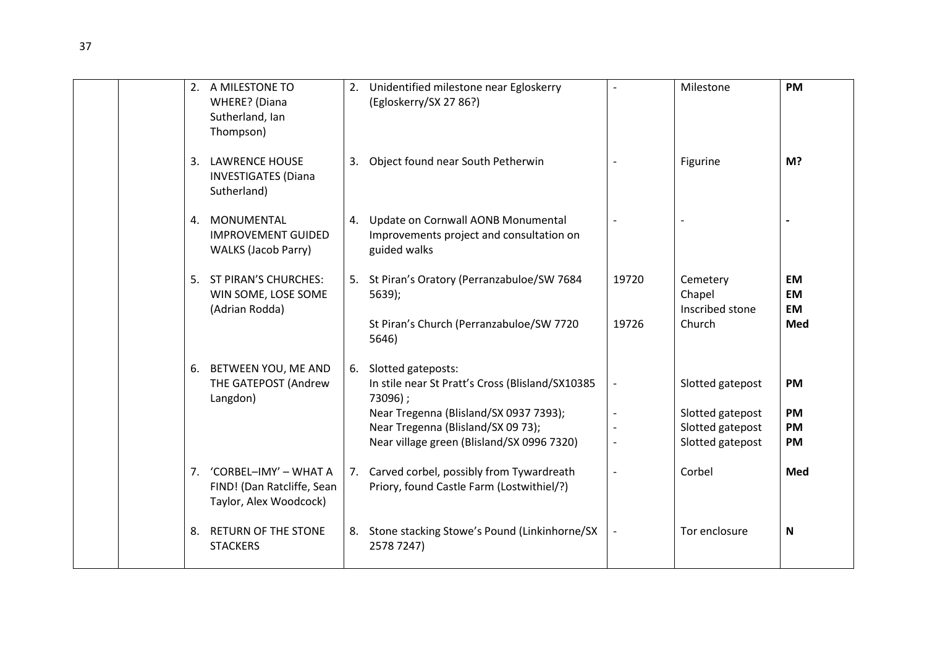|  | 2. A MILESTONE TO<br><b>WHERE?</b> (Diana<br>Sutherland, Ian<br>Thompson)        |    | 2. Unidentified milestone near Egloskerry<br>(Egloskerry/SX 27 86?)                                                        |       | Milestone                                                | <b>PM</b>                           |
|--|----------------------------------------------------------------------------------|----|----------------------------------------------------------------------------------------------------------------------------|-------|----------------------------------------------------------|-------------------------------------|
|  | 3. LAWRENCE HOUSE<br><b>INVESTIGATES (Diana</b><br>Sutherland)                   |    | 3. Object found near South Petherwin                                                                                       |       | Figurine                                                 | M?                                  |
|  | 4. MONUMENTAL<br><b>IMPROVEMENT GUIDED</b><br><b>WALKS (Jacob Parry)</b>         |    | 4. Update on Cornwall AONB Monumental<br>Improvements project and consultation on<br>guided walks                          |       |                                                          |                                     |
|  | 5. ST PIRAN'S CHURCHES:<br>WIN SOME, LOSE SOME<br>(Adrian Rodda)                 |    | 5. St Piran's Oratory (Perranzabuloe/SW 7684<br>$5639$ ;                                                                   | 19720 | Cemetery<br>Chapel<br>Inscribed stone                    | <b>EM</b><br><b>EM</b><br><b>EM</b> |
|  |                                                                                  |    | St Piran's Church (Perranzabuloe/SW 7720<br>5646)                                                                          | 19726 | Church                                                   | Med                                 |
|  | 6. BETWEEN YOU, ME AND<br>THE GATEPOST (Andrew<br>Langdon)                       |    | 6. Slotted gateposts:<br>In stile near St Pratt's Cross (Blisland/SX10385<br>73096);                                       |       | Slotted gatepost                                         | <b>PM</b>                           |
|  |                                                                                  |    | Near Tregenna (Blisland/SX 0937 7393);<br>Near Tregenna (Blisland/SX 09 73);<br>Near village green (Blisland/SX 0996 7320) |       | Slotted gatepost<br>Slotted gatepost<br>Slotted gatepost | <b>PM</b><br>PM<br><b>PM</b>        |
|  | 7. 'CORBEL-IMY' - WHAT A<br>FIND! (Dan Ratcliffe, Sean<br>Taylor, Alex Woodcock) |    | 7. Carved corbel, possibly from Tywardreath<br>Priory, found Castle Farm (Lostwithiel/?)                                   |       | Corbel                                                   | <b>Med</b>                          |
|  | 8. RETURN OF THE STONE<br><b>STACKERS</b>                                        | 8. | Stone stacking Stowe's Pound (Linkinhorne/SX<br>2578 7247)                                                                 |       | Tor enclosure                                            | N                                   |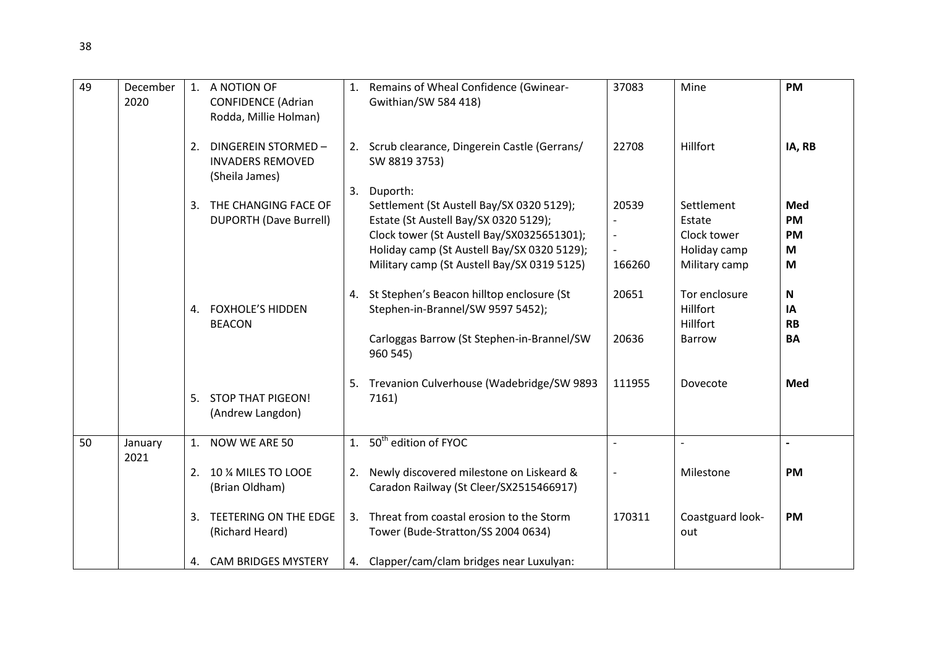| 49 | December<br>2020 |                | 1. A NOTION OF<br><b>CONFIDENCE (Adrian</b><br>Rodda, Millie Holman) |    | 1. Remains of Wheal Confidence (Gwinear-<br>Gwithian/SW 584 418)                                                                                                                                                                           | 37083                                                                   | Mine                                                                 | <b>PM</b>                                 |
|----|------------------|----------------|----------------------------------------------------------------------|----|--------------------------------------------------------------------------------------------------------------------------------------------------------------------------------------------------------------------------------------------|-------------------------------------------------------------------------|----------------------------------------------------------------------|-------------------------------------------|
|    |                  | 2.             | DINGEREIN STORMED -<br><b>INVADERS REMOVED</b><br>(Sheila James)     |    | 2. Scrub clearance, Dingerein Castle (Gerrans/<br>SW 8819 3753)                                                                                                                                                                            | 22708                                                                   | Hillfort                                                             | IA, RB                                    |
|    |                  | 3.             | THE CHANGING FACE OF<br><b>DUPORTH (Dave Burrell)</b>                | 3. | Duporth:<br>Settlement (St Austell Bay/SX 0320 5129);<br>Estate (St Austell Bay/SX 0320 5129);<br>Clock tower (St Austell Bay/SX0325651301);<br>Holiday camp (St Austell Bay/SX 0320 5129);<br>Military camp (St Austell Bay/SX 0319 5125) | 20539<br>$\overline{\phantom{a}}$<br>$\overline{\phantom{a}}$<br>166260 | Settlement<br>Estate<br>Clock tower<br>Holiday camp<br>Military camp | Med<br><b>PM</b><br><b>PM</b><br>M<br>M   |
|    |                  | 4.             | <b>FOXHOLE'S HIDDEN</b><br><b>BEACON</b>                             |    | 4. St Stephen's Beacon hilltop enclosure (St<br>Stephen-in-Brannel/SW 9597 5452);<br>Carloggas Barrow (St Stephen-in-Brannel/SW<br>960 545)                                                                                                | 20651<br>20636                                                          | Tor enclosure<br>Hillfort<br><b>Hillfort</b><br><b>Barrow</b>        | ${\bf N}$<br>IA<br><b>RB</b><br><b>BA</b> |
|    |                  |                | 5. STOP THAT PIGEON!<br>(Andrew Langdon)                             | 5. | Trevanion Culverhouse (Wadebridge/SW 9893<br>7161)                                                                                                                                                                                         | 111955                                                                  | Dovecote                                                             | Med                                       |
| 50 | January<br>2021  | 1 <sup>1</sup> | NOW WE ARE 50                                                        |    | 1. 50 <sup>th</sup> edition of FYOC                                                                                                                                                                                                        | $\overline{a}$                                                          |                                                                      |                                           |
|    |                  |                | 2. 10 % MILES TO LOOE<br>(Brian Oldham)                              |    | 2. Newly discovered milestone on Liskeard &<br>Caradon Railway (St Cleer/SX2515466917)                                                                                                                                                     |                                                                         | Milestone                                                            | <b>PM</b>                                 |
|    |                  | 3.             | TEETERING ON THE EDGE<br>(Richard Heard)                             |    | 3. Threat from coastal erosion to the Storm<br>Tower (Bude-Stratton/SS 2004 0634)                                                                                                                                                          | 170311                                                                  | Coastguard look-<br>out                                              | <b>PM</b>                                 |
|    |                  |                | 4. CAM BRIDGES MYSTERY                                               |    | 4. Clapper/cam/clam bridges near Luxulyan:                                                                                                                                                                                                 |                                                                         |                                                                      |                                           |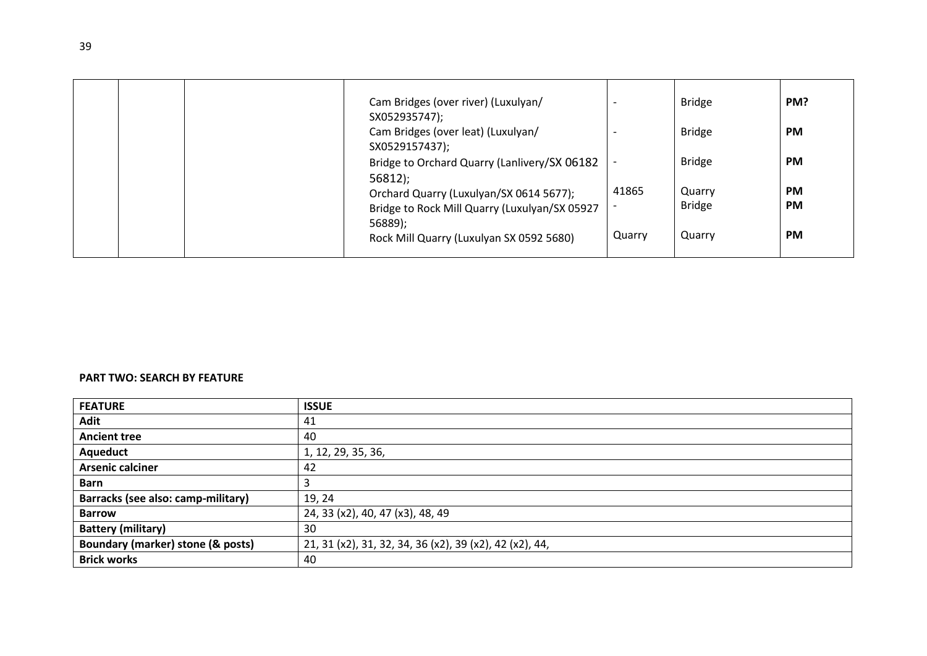|  | Cam Bridges (over river) (Luxulyan/<br>SX052935747);                                                |        | <b>Bridge</b>           | PM?                    |
|--|-----------------------------------------------------------------------------------------------------|--------|-------------------------|------------------------|
|  | Cam Bridges (over leat) (Luxulyan/<br>SX0529157437);                                                |        | <b>Bridge</b>           | <b>PM</b>              |
|  | Bridge to Orchard Quarry (Lanlivery/SX 06182<br>56812;                                              |        | <b>Bridge</b>           | <b>PM</b>              |
|  | Orchard Quarry (Luxulyan/SX 0614 5677);<br>Bridge to Rock Mill Quarry (Luxulyan/SX 05927<br>56889); | 41865  | Quarry<br><b>Bridge</b> | <b>PM</b><br><b>PM</b> |
|  | Rock Mill Quarry (Luxulyan SX 0592 5680)                                                            | Quarry | Quarry                  | <b>PM</b>              |

## **PART TWO: SEARCH BY FEATURE**

| <b>FEATURE</b>                     | <b>ISSUE</b>                                            |
|------------------------------------|---------------------------------------------------------|
| <b>Adit</b>                        | 41                                                      |
| <b>Ancient tree</b>                | 40                                                      |
| Aqueduct                           | 1, 12, 29, 35, 36,                                      |
| <b>Arsenic calciner</b>            | 42                                                      |
| <b>Barn</b>                        | 3                                                       |
| Barracks (see also: camp-military) | 19, 24                                                  |
| <b>Barrow</b>                      | 24, 33 (x2), 40, 47 (x3), 48, 49                        |
| <b>Battery (military)</b>          | 30                                                      |
| Boundary (marker) stone (& posts)  | 21, 31 (x2), 31, 32, 34, 36 (x2), 39 (x2), 42 (x2), 44, |
| <b>Brick works</b>                 | 40                                                      |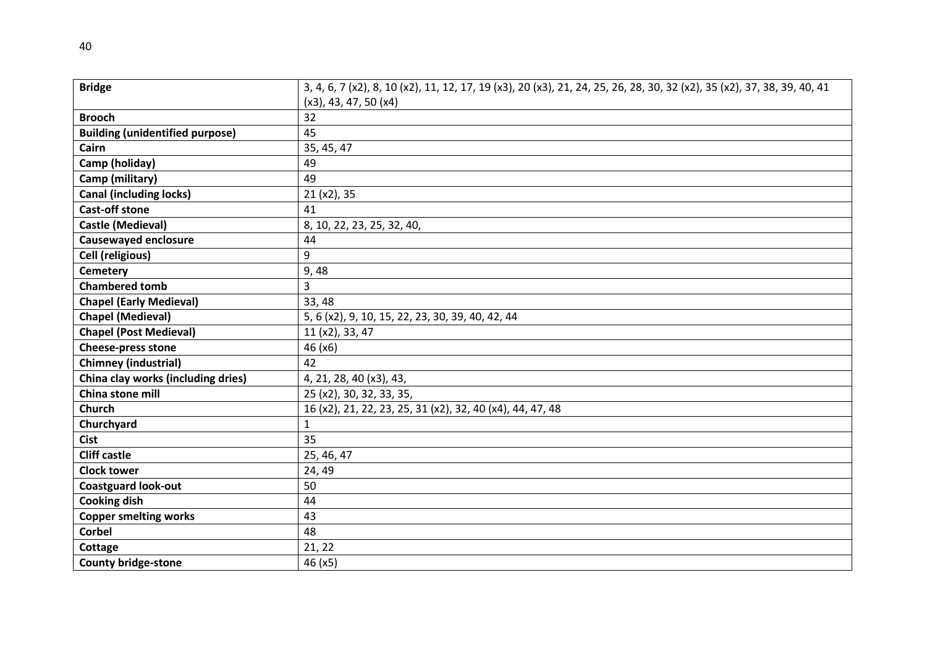| <b>Bridge</b>                          | 3, 4, 6, 7 (x2), 8, 10 (x2), 11, 12, 17, 19 (x3), 20 (x3), 21, 24, 25, 26, 28, 30, 32 (x2), 35 (x2), 37, 38, 39, 40, 41 |
|----------------------------------------|-------------------------------------------------------------------------------------------------------------------------|
|                                        | $(x3)$ , 43, 47, 50 $(x4)$                                                                                              |
| <b>Brooch</b>                          | 32                                                                                                                      |
| <b>Building (unidentified purpose)</b> | 45                                                                                                                      |
| Cairn                                  | 35, 45, 47                                                                                                              |
| Camp (holiday)                         | 49                                                                                                                      |
| Camp (military)                        | 49                                                                                                                      |
| <b>Canal (including locks)</b>         | 21 (x2), 35                                                                                                             |
| <b>Cast-off stone</b>                  | 41                                                                                                                      |
| Castle (Medieval)                      | 8, 10, 22, 23, 25, 32, 40,                                                                                              |
| <b>Causewayed enclosure</b>            | 44                                                                                                                      |
| Cell (religious)                       | 9                                                                                                                       |
| <b>Cemetery</b>                        | 9,48                                                                                                                    |
| <b>Chambered tomb</b>                  | $\overline{3}$                                                                                                          |
| <b>Chapel (Early Medieval)</b>         | 33, 48                                                                                                                  |
| <b>Chapel (Medieval)</b>               | 5, 6 (x2), 9, 10, 15, 22, 23, 30, 39, 40, 42, 44                                                                        |
| <b>Chapel (Post Medieval)</b>          | 11 (x2), 33, 47                                                                                                         |
| <b>Cheese-press stone</b>              | 46 (x6)                                                                                                                 |
| Chimney (industrial)                   | 42                                                                                                                      |
| China clay works (including dries)     | 4, 21, 28, 40 (x3), 43,                                                                                                 |
| China stone mill                       | 25 (x2), 30, 32, 33, 35,                                                                                                |
| <b>Church</b>                          | 16 (x2), 21, 22, 23, 25, 31 (x2), 32, 40 (x4), 44, 47, 48                                                               |
| Churchyard                             | $\mathbf{1}$                                                                                                            |
| <b>Cist</b>                            | 35                                                                                                                      |
| <b>Cliff castle</b>                    | 25, 46, 47                                                                                                              |
| <b>Clock tower</b>                     | 24, 49                                                                                                                  |
| <b>Coastguard look-out</b>             | 50                                                                                                                      |
| <b>Cooking dish</b>                    | 44                                                                                                                      |
| <b>Copper smelting works</b>           | 43                                                                                                                      |
| <b>Corbel</b>                          | 48                                                                                                                      |
| Cottage                                | 21, 22                                                                                                                  |
| <b>County bridge-stone</b>             | 46 (x5)                                                                                                                 |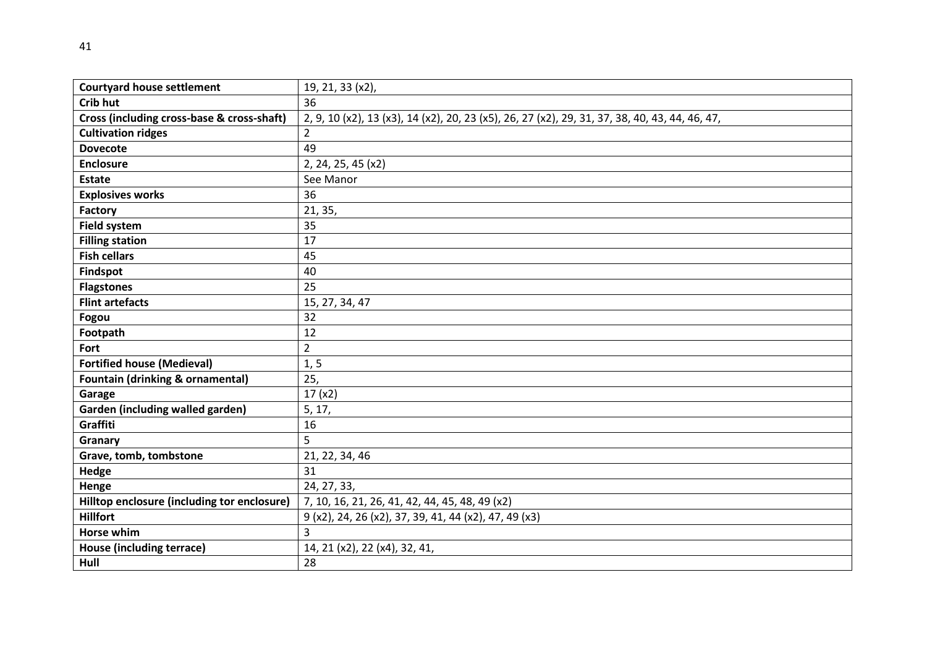| <b>Courtyard house settlement</b>           | 19, 21, 33 (x2),                                                                               |
|---------------------------------------------|------------------------------------------------------------------------------------------------|
| Crib hut                                    | 36                                                                                             |
| Cross (including cross-base & cross-shaft)  | 2, 9, 10 (x2), 13 (x3), 14 (x2), 20, 23 (x5), 26, 27 (x2), 29, 31, 37, 38, 40, 43, 44, 46, 47, |
| <b>Cultivation ridges</b>                   | $\overline{2}$                                                                                 |
| <b>Dovecote</b>                             | 49                                                                                             |
| <b>Enclosure</b>                            | 2, 24, 25, 45 (x2)                                                                             |
| <b>Estate</b>                               | See Manor                                                                                      |
| <b>Explosives works</b>                     | 36                                                                                             |
| Factory                                     | 21, 35,                                                                                        |
| <b>Field system</b>                         | 35                                                                                             |
| <b>Filling station</b>                      | 17                                                                                             |
| <b>Fish cellars</b>                         | 45                                                                                             |
| Findspot                                    | 40                                                                                             |
| <b>Flagstones</b>                           | 25                                                                                             |
| <b>Flint artefacts</b>                      | 15, 27, 34, 47                                                                                 |
| Fogou                                       | 32                                                                                             |
| Footpath                                    | 12                                                                                             |
| Fort                                        | $\overline{2}$                                                                                 |
| <b>Fortified house (Medieval)</b>           | 1, 5                                                                                           |
| <b>Fountain (drinking &amp; ornamental)</b> | 25,                                                                                            |
| Garage                                      | 17(x2)                                                                                         |
| Garden (including walled garden)            | 5, 17,                                                                                         |
| Graffiti                                    | 16                                                                                             |
| Granary                                     | 5                                                                                              |
| Grave, tomb, tombstone                      | 21, 22, 34, 46                                                                                 |
| Hedge                                       | 31                                                                                             |
| Henge                                       | 24, 27, 33,                                                                                    |
| Hilltop enclosure (including tor enclosure) | 7, 10, 16, 21, 26, 41, 42, 44, 45, 48, 49 (x2)                                                 |
| <b>Hillfort</b>                             | 9 (x2), 24, 26 (x2), 37, 39, 41, 44 (x2), 47, 49 (x3)                                          |
| Horse whim                                  | $\overline{3}$                                                                                 |
| <b>House (including terrace)</b>            | 14, 21 (x2), 22 (x4), 32, 41,                                                                  |
| Hull                                        | 28                                                                                             |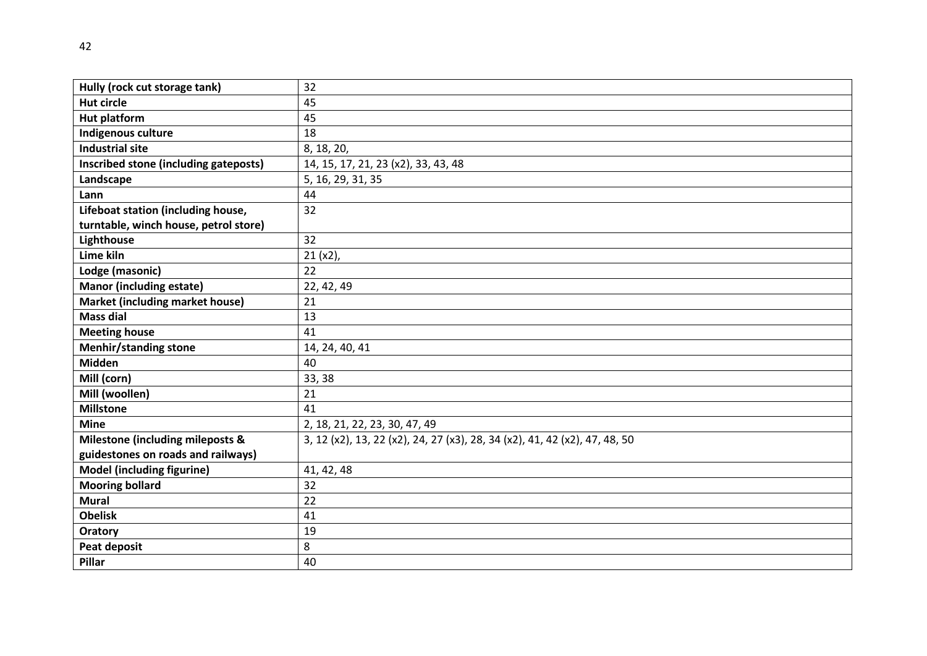| Hully (rock cut storage tank)         | 32                                                                         |
|---------------------------------------|----------------------------------------------------------------------------|
| <b>Hut circle</b>                     | 45                                                                         |
| <b>Hut platform</b>                   | 45                                                                         |
| Indigenous culture                    | 18                                                                         |
| <b>Industrial site</b>                | 8, 18, 20,                                                                 |
| Inscribed stone (including gateposts) | 14, 15, 17, 21, 23 (x2), 33, 43, 48                                        |
| Landscape                             | 5, 16, 29, 31, 35                                                          |
| Lann                                  | 44                                                                         |
| Lifeboat station (including house,    | 32                                                                         |
| turntable, winch house, petrol store) |                                                                            |
| Lighthouse                            | 32                                                                         |
| Lime kiln                             | $21 (x2)$ ,                                                                |
| Lodge (masonic)                       | 22                                                                         |
| <b>Manor (including estate)</b>       | 22, 42, 49                                                                 |
| Market (including market house)       | 21                                                                         |
| <b>Mass dial</b>                      | 13                                                                         |
| <b>Meeting house</b>                  | 41                                                                         |
| <b>Menhir/standing stone</b>          | 14, 24, 40, 41                                                             |
| <b>Midden</b>                         | 40                                                                         |
| Mill (corn)                           | 33, 38                                                                     |
| Mill (woollen)                        | 21                                                                         |
| <b>Millstone</b>                      | 41                                                                         |
| <b>Mine</b>                           | 2, 18, 21, 22, 23, 30, 47, 49                                              |
| Milestone (including mileposts &      | 3, 12 (x2), 13, 22 (x2), 24, 27 (x3), 28, 34 (x2), 41, 42 (x2), 47, 48, 50 |
| guidestones on roads and railways)    |                                                                            |
| <b>Model (including figurine)</b>     | 41, 42, 48                                                                 |
| <b>Mooring bollard</b>                | 32                                                                         |
| <b>Mural</b>                          | 22                                                                         |
| <b>Obelisk</b>                        | 41                                                                         |
| Oratory                               | 19                                                                         |
| Peat deposit                          | 8                                                                          |
| Pillar                                | 40                                                                         |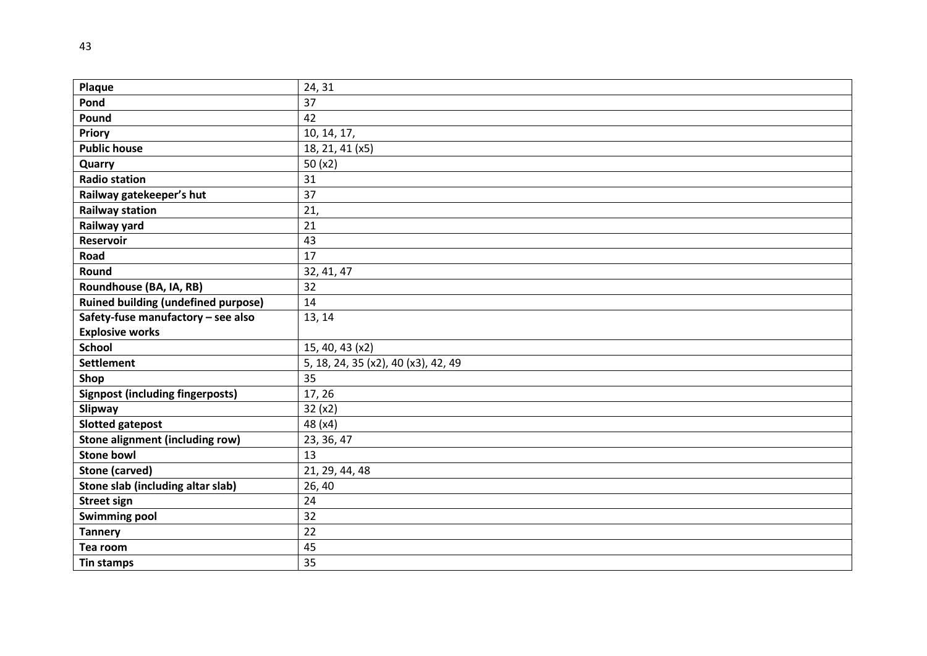| Plaque                                     | 24, 31                              |
|--------------------------------------------|-------------------------------------|
| Pond                                       | 37                                  |
| Pound                                      | 42                                  |
| <b>Priory</b>                              | 10, 14, 17,                         |
| <b>Public house</b>                        | 18, 21, 41 (x5)                     |
| Quarry                                     | 50 $(x2)$                           |
| <b>Radio station</b>                       | 31                                  |
| Railway gatekeeper's hut                   | 37                                  |
| <b>Railway station</b>                     | 21,                                 |
| Railway yard                               | 21                                  |
| <b>Reservoir</b>                           | 43                                  |
| Road                                       | 17                                  |
| Round                                      | 32, 41, 47                          |
| Roundhouse (BA, IA, RB)                    | 32                                  |
| <b>Ruined building (undefined purpose)</b> | 14                                  |
| Safety-fuse manufactory - see also         | 13, 14                              |
| <b>Explosive works</b>                     |                                     |
| <b>School</b>                              | 15, 40, 43 (x2)                     |
| <b>Settlement</b>                          | 5, 18, 24, 35 (x2), 40 (x3), 42, 49 |
| Shop                                       | 35                                  |
| <b>Signpost (including fingerposts)</b>    | 17, 26                              |
| Slipway                                    | 32(x2)                              |
| <b>Slotted gatepost</b>                    | 48 (x4)                             |
| Stone alignment (including row)            | 23, 36, 47                          |
| <b>Stone bowl</b>                          | 13                                  |
| <b>Stone (carved)</b>                      | 21, 29, 44, 48                      |
| Stone slab (including altar slab)          | 26,40                               |
| <b>Street sign</b>                         | 24                                  |
| <b>Swimming pool</b>                       | 32                                  |
| <b>Tannery</b>                             |                                     |
|                                            | 22                                  |
| Tea room                                   | 45                                  |